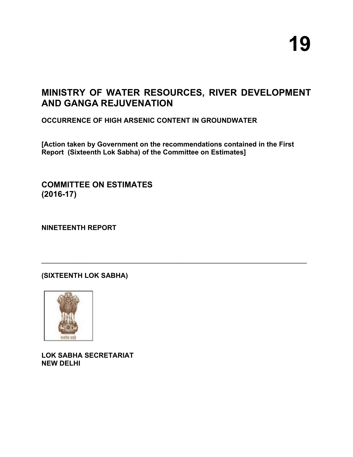# **MINISTRY OF WATER RESOURCES, RIVER DEVELOPMENT AND GANGA REJUVENATION**

**OCCURRENCE OF HIGH ARSENIC CONTENT IN GROUNDWATER**

**[Action taken by Government on the recommendations contained in the First Report (Sixteenth Lok Sabha) of the Committee on Estimates]** 

 $\mathcal{L}_\mathcal{L} = \mathcal{L}_\mathcal{L} = \mathcal{L}_\mathcal{L} = \mathcal{L}_\mathcal{L} = \mathcal{L}_\mathcal{L} = \mathcal{L}_\mathcal{L} = \mathcal{L}_\mathcal{L} = \mathcal{L}_\mathcal{L} = \mathcal{L}_\mathcal{L} = \mathcal{L}_\mathcal{L} = \mathcal{L}_\mathcal{L} = \mathcal{L}_\mathcal{L} = \mathcal{L}_\mathcal{L} = \mathcal{L}_\mathcal{L} = \mathcal{L}_\mathcal{L} = \mathcal{L}_\mathcal{L} = \mathcal{L}_\mathcal{L}$ 

**COMMITTEE ON ESTIMATES (2016-17)**

**NINETEENTH REPORT**

**(SIXTEENTH LOK SABHA)**



**LOK SABHA SECRETARIAT NEW DELHI**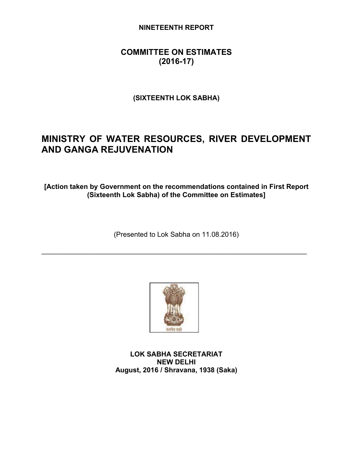## **NINETEENTH REPORT**

# **COMMITTEE ON ESTIMATES (2016-17)**

**(SIXTEENTH LOK SABHA)**

# **MINISTRY OF WATER RESOURCES, RIVER DEVELOPMENT AND GANGA REJUVENATION**

**[Action taken by Government on the recommendations contained in First Report (Sixteenth Lok Sabha) of the Committee on Estimates]**

(Presented to Lok Sabha on 11.08.2016)

 $\mathcal{L}_\text{max}$  and  $\mathcal{L}_\text{max}$  and  $\mathcal{L}_\text{max}$  and  $\mathcal{L}_\text{max}$  and  $\mathcal{L}_\text{max}$  and  $\mathcal{L}_\text{max}$ 



**LOK SABHA SECRETARIAT NEW DELHI August, 2016 / Shravana, 1938 (Saka)**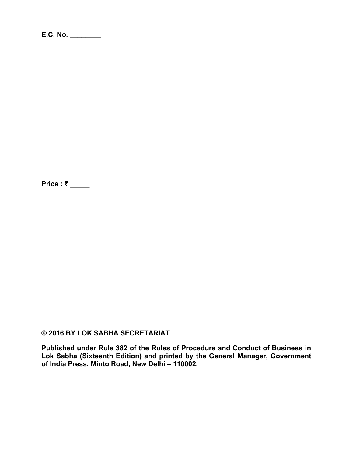**Price : ₹ \_\_\_\_\_**

## **© 2016 BY LOK SABHA SECRETARIAT**

**Published under Rule 382 of the Rules of Procedure and Conduct of Business in Lok Sabha (Sixteenth Edition) and printed by the General Manager, Government of India Press, Minto Road, New Delhi – 110002.**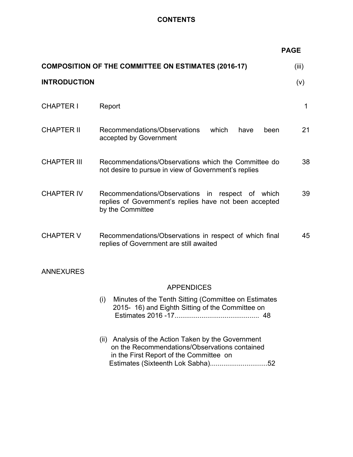## **CONTENTS**

|                     |                                                                                                                                                    | <b>PAGE</b> |  |  |
|---------------------|----------------------------------------------------------------------------------------------------------------------------------------------------|-------------|--|--|
|                     | <b>COMPOSITION OF THE COMMITTEE ON ESTIMATES (2016-17)</b>                                                                                         | (iii)       |  |  |
| <b>INTRODUCTION</b> |                                                                                                                                                    | (v)         |  |  |
| <b>CHAPTER I</b>    | Report                                                                                                                                             | 1           |  |  |
| <b>CHAPTER II</b>   | Recommendations/Observations<br>which<br>have<br>been<br>accepted by Government                                                                    | 21          |  |  |
| <b>CHAPTER III</b>  | Recommendations/Observations which the Committee do<br>not desire to pursue in view of Government's replies                                        | 38          |  |  |
| <b>CHAPTER IV</b>   | Recommendations/Observations in respect of which<br>replies of Government's replies have not been accepted<br>by the Committee                     | 39          |  |  |
| <b>CHAPTER V</b>    | Recommendations/Observations in respect of which final<br>replies of Government are still awaited                                                  | 45          |  |  |
| <b>ANNEXURES</b>    |                                                                                                                                                    |             |  |  |
|                     | <b>APPENDICES</b>                                                                                                                                  |             |  |  |
|                     | Minutes of the Tenth Sitting (Committee on Estimates<br>(i)<br>2015- 16) and Eighth Sitting of the Committee on                                    |             |  |  |
|                     | Analysis of the Action Taken by the Government<br>(ii)<br>on the Recommendations/Observations contained<br>in the First Report of the Committee on |             |  |  |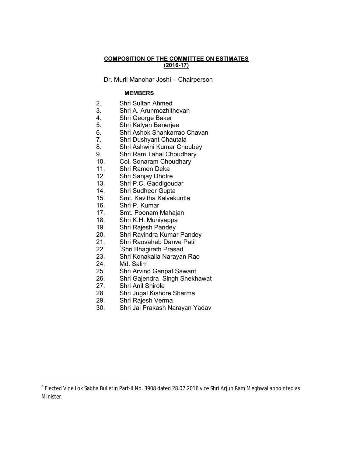#### **COMPOSITION OF THE COMMITTEE ON ESTIMATES (2016-17)**

Dr. Murli Manohar Joshi – Chairperson

#### **MEMBERS**

- 2. Shri Sultan Ahmed
- 3. Shri A. Arunmozhithevan
- 4. Shri George Baker
- 5. Shri Kalyan Banerjee
- 6. Shri Ashok Shankarrao Chavan
- 7. Shri Dushyant Chautala
- 8. Shri Ashwini Kumar Choubey
- 9. Shri Ram Tahal Choudhary
- 10. Col. Sonaram Choudhary
- 11. Shri Ramen Deka
- 12. Shri Sanjay Dhotre
- 13. Shri P.C. Gaddigoudar
- 14. Shri Sudheer Gupta
- 15. Smt. Kavitha Kalvakuntla
- 16. Shri P. Kumar
- 17. Smt. Poonam Mahajan
- 18. Shri K.H. Muniyappa
- 19. Shri Rajesh Pandey<br>20. Shri Ravindra Kumar
- Shri Ravindra Kumar Pandey
- 21. Shri Raosaheb Danve Patil
- 22 \* Shri Bhagirath Prasad
- 23. Shri Konakalla Narayan Rao
- 24. Md. Salim
- 25. Shri Arvind Ganpat Sawant
- 26. Shri Gajendra Singh Shekhawat
- 27. Shri Anil Shirole
- 28. Shri Jugal Kishore Sharma
- 29. Shri Rajesh Verma
- 30. Shri Jai Prakash Narayan Yadav

Elected Vide Lok Sabha Bulletin Part-II No. 3908 dated 28.07.2016 vice Shri Arjun Ram Meghwal appointed as Minister.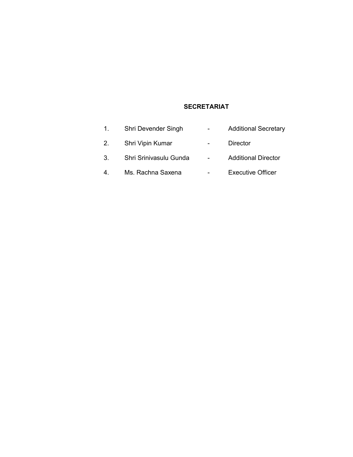# **SECRETARIAT**

| 1. | Shri Devender Singh    | <b>Additional Secretary</b> |
|----|------------------------|-----------------------------|
|    | Shri Vipin Kumar       | Director                    |
|    | Shri Srinivasulu Gunda | <b>Additional Director</b>  |
| 4. | Ms. Rachna Saxena      | <b>Executive Officer</b>    |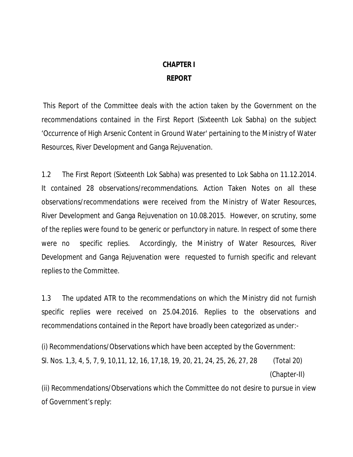# **CHAPTER I**

## **REPORT**

This Report of the Committee deals with the action taken by the Government on the recommendations contained in the First Report (Sixteenth Lok Sabha) on the subject 'Occurrence of High Arsenic Content in Ground Water' pertaining to the Ministry of Water Resources, River Development and Ganga Rejuvenation.

1.2 The First Report (Sixteenth Lok Sabha) was presented to Lok Sabha on 11.12.2014. It contained 28 observations/recommendations. Action Taken Notes on all these observations/recommendations were received from the Ministry of Water Resources, River Development and Ganga Rejuvenation on 10.08.2015. However, on scrutiny, some of the replies were found to be generic or perfunctory in nature. In respect of some there were no specific replies. Accordingly, the Ministry of Water Resources, River Development and Ganga Rejuvenation were requested to furnish specific and relevant replies to the Committee.

1.3 The updated ATR to the recommendations on which the Ministry did not furnish specific replies were received on 25.04.2016. Replies to the observations and recommendations contained in the Report have broadly been categorized as under:-

(i) Recommendations/Observations which have been accepted by the Government: Sl. Nos. 1,3, 4, 5, 7, 9, 10,11, 12, 16, 17,18, 19, 20, 21, 24, 25, 26, 27, 28 (Total 20) (Chapter-II)

(ii) Recommendations/Observations which the Committee do not desire to pursue in view of Government's reply: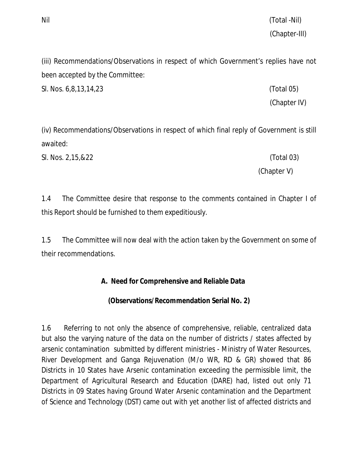Nil (Total -Nil) (Chapter-III)

(iii) Recommendations/Observations in respect of which Government's replies have not been accepted by the Committee:

Sl. Nos. 6,8,13,14,23 (Total 05)

(Chapter IV)

(iv) Recommendations/Observations in respect of which final reply of Government is still awaited:

Sl. Nos. 2,15,&22 (Total 03)

(Chapter V)

1.4 The Committee desire that response to the comments contained in Chapter I of this Report should be furnished to them expeditiously.

1.5 The Committee will now deal with the action taken by the Government on some of their recommendations.

**A. Need for Comprehensive and Reliable Data** 

**(Observations/Recommendation Serial No. 2)**

1.6 Referring to not only the absence of comprehensive, reliable, centralized data but also the varying nature of the data on the number of districts / states affected by arsenic contamination submitted by different ministries - Ministry of Water Resources, River Development and Ganga Rejuvenation (M/o WR, RD & GR) showed that 86 Districts in 10 States have Arsenic contamination exceeding the permissible limit, the Department of Agricultural Research and Education (DARE) had, listed out only 71 Districts in 09 States having Ground Water Arsenic contamination and the Department of Science and Technology (DST) came out with yet another list of affected districts and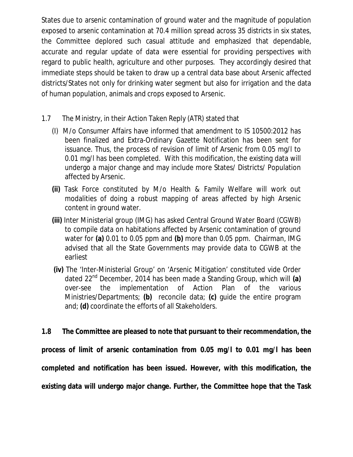States due to arsenic contamination of ground water and the magnitude of population exposed to arsenic contamination at 70.4 million spread across 35 districts in six states, the Committee deplored such casual attitude and emphasized that dependable, accurate and regular update of data were essential for providing perspectives with regard to public health, agriculture and other purposes. They accordingly desired that immediate steps should be taken to draw up a central data base about Arsenic affected districts/States not only for drinking water segment but also for irrigation and the data of human population, animals and crops exposed to Arsenic.

- 1.7 The Ministry, in their Action Taken Reply (ATR) stated that
	- (I) M/o Consumer Affairs have informed that amendment to IS 10500:2012 has been finalized and Extra-Ordinary Gazette Notification has been sent for issuance. Thus, the process of revision of limit of Arsenic from 0.05 mg/l to 0.01 mg/l has been completed. With this modification, the existing data will undergo a major change and may include more States/ Districts/ Population affected by Arsenic.
	- **(ii)** Task Force constituted by M/o Health & Family Welfare will work out modalities of doing a robust mapping of areas affected by high Arsenic content in ground water.
	- **(iii)** Inter Ministerial group (IMG) has asked Central Ground Water Board (CGWB) to compile data on habitations affected by Arsenic contamination of ground water for **(a)** 0.01 to 0.05 ppm and **(b)** more than 0.05 ppm. Chairman, IMG advised that all the State Governments may provide data to CGWB at the earliest
	- **(iv)** The 'Inter-Ministerial Group' on 'Arsenic Mitigation' constituted vide Order dated 22nd December, 2014 has been made a Standing Group, which will **(a)**  over-see the implementation of Action Plan of the various Ministries/Departments; **(b)** reconcile data; **(c)** guide the entire program and; **(d)** coordinate the efforts of all Stakeholders.

**1.8 The Committee are pleased to note that pursuant to their recommendation, the process of limit of arsenic contamination from 0.05 mg/l to 0.01 mg/l has been completed and notification has been issued. However, with this modification, the existing data will undergo major change. Further, the Committee hope that the Task**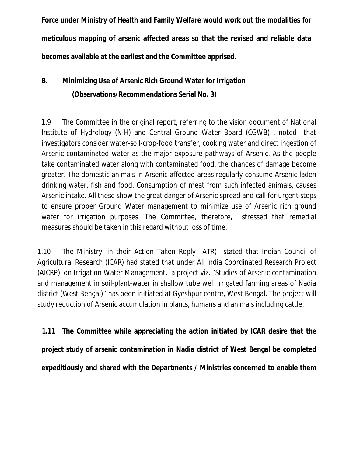**Force under Ministry of Health and Family Welfare would work out the modalities for meticulous mapping of arsenic affected areas so that the revised and reliable data becomes available at the earliest and the Committee apprised.**

# **B. Minimizing Use of Arsenic Rich Ground Water for Irrigation (Observations/Recommendations Serial No. 3)**

1.9 The Committee in the original report, referring to the vision document of National Institute of Hydrology (NIH) and Central Ground Water Board (CGWB) , noted that investigators consider water-soil-crop-food transfer, cooking water and direct ingestion of Arsenic contaminated water as the major exposure pathways of Arsenic. As the people take contaminated water along with contaminated food, the chances of damage become greater. The domestic animals in Arsenic affected areas regularly consume Arsenic laden drinking water, fish and food. Consumption of meat from such infected animals, causes Arsenic intake. All these show the great danger of Arsenic spread and call for urgent steps to ensure proper Ground Water management to minimize use of Arsenic rich ground water for irrigation purposes. The Committee, therefore, stressed that remedial measures should be taken in this regard without loss of time.

1.10 The Ministry, in their Action Taken Reply ATR) stated that Indian Council of Agricultural Research (ICAR) had stated that under All India Coordinated Research Project (AICRP), on Irrigation Water Management, a project viz. "Studies of Arsenic contamination and management in soil-plant-water in shallow tube well irrigated farming areas of Nadia district (West Bengal)" has been initiated at Gyeshpur centre, West Bengal. The project will study reduction of Arsenic accumulation in plants, humans and animals including cattle.

**1.11 The Committee while appreciating the action initiated by ICAR desire that the project study of arsenic contamination in Nadia district of West Bengal be completed expeditiously and shared with the Departments / Ministries concerned to enable them**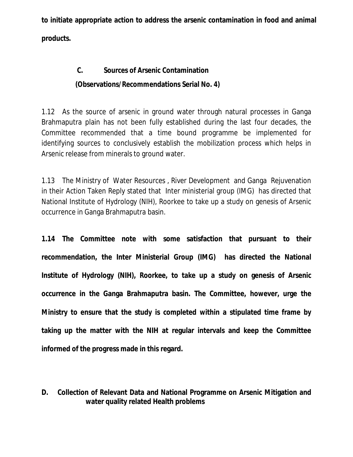**to initiate appropriate action to address the arsenic contamination in food and animal products.** 

# **C. Sources of Arsenic Contamination (Observations/Recommendations Serial No. 4)**

1.12 As the source of arsenic in ground water through natural processes in Ganga Brahmaputra plain has not been fully established during the last four decades, the Committee recommended that a time bound programme be implemented for identifying sources to conclusively establish the mobilization process which helps in Arsenic release from minerals to ground water.

1.13 The Ministry of Water Resources , River Development and Ganga Rejuvenation in their Action Taken Reply stated that Inter ministerial group (IMG) has directed that National Institute of Hydrology (NIH), Roorkee to take up a study on genesis of Arsenic occurrence in Ganga Brahmaputra basin.

**1.14 The Committee note with some satisfaction that pursuant to their recommendation, the Inter Ministerial Group (IMG) has directed the National Institute of Hydrology (NIH), Roorkee, to take up a study on genesis of Arsenic occurrence in the Ganga Brahmaputra basin. The Committee, however, urge the Ministry to ensure that the study is completed within a stipulated time frame by taking up the matter with the NIH at regular intervals and keep the Committee informed of the progress made in this regard.** 

# **D. Collection of Relevant Data and National Programme on Arsenic Mitigation and water quality related Health problems**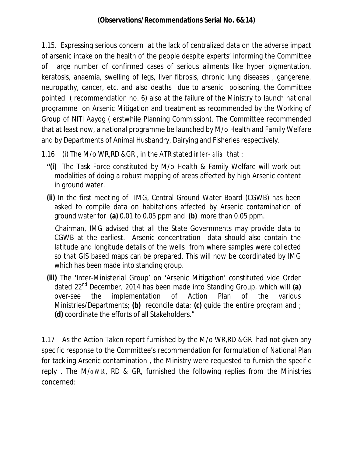1.15. Expressing serious concern at the lack of centralized data on the adverse impact of arsenic intake on the health of the people despite experts' informing the Committee of large number of confirmed cases of serious ailments like hyper pigmentation, keratosis, anaemia, swelling of legs, liver fibrosis, chronic lung diseases , gangerene, neuropathy, cancer, etc. and also deaths due to arsenic poisoning, the Committee pointed ( recommendation no. 6) also at the failure of the Ministry to launch national programme on Arsenic Mitigation and treatment as recommended by the Working of Group of NITI Aayog ( erstwhile Planning Commission). The Committee recommended that at least now, a national programme be launched by M/o Health and Family Welfare and by Departments of Animal Husbandry, Dairying and Fisheries respectively.

- 1.16 (i) The M/o WR,RD &GR , in the ATR stated *inter- alia* that :
	- **"(i)** The Task Force constituted by M/o Health & Family Welfare will work out modalities of doing a robust mapping of areas affected by high Arsenic content in ground water.
	- **(ii)** In the first meeting of IMG, Central Ground Water Board (CGWB) has been asked to compile data on habitations affected by Arsenic contamination of ground water for **(a)** 0.01 to 0.05 ppm and **(b)** more than 0.05 ppm.

Chairman, IMG advised that all the State Governments may provide data to CGWB at the earliest. Arsenic concentration data should also contain the latitude and longitude details of the wells from where samples were collected so that GIS based maps can be prepared. This will now be coordinated by IMG which has been made into standing group.

**(iii)** The 'Inter-Ministerial Group' on 'Arsenic Mitigation' constituted vide Order dated 22nd December, 2014 has been made into Standing Group, which will **(a)**  over-see the implementation of Action Plan of the various Ministries/Departments; **(b)** reconcile data; **(c)** guide the entire program and ; **(d)** coordinate the efforts of all Stakeholders."

1.17 As the Action Taken report furnished by the M/o WR,RD &GR had not given any specific response to the Committee's recommendation for formulation of National Plan for tackling Arsenic contamination , the Ministry were requested to furnish the specific reply . The M/*oWR*, RD & GR, furnished the following replies from the Ministries concerned: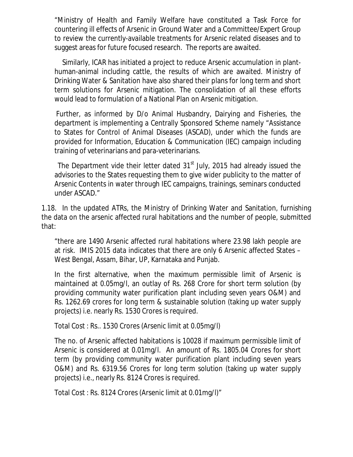"Ministry of Health and Family Welfare have constituted a Task Force for countering ill effects of Arsenic in Ground Water and a Committee/Expert Group to review the currently-available treatments for Arsenic related diseases and to suggest areas for future focused research. The reports are awaited.

Similarly, ICAR has initiated a project to reduce Arsenic accumulation in planthuman-animal including cattle, the results of which are awaited. Ministry of Drinking Water & Sanitation have also shared their plans for long term and short term solutions for Arsenic mitigation. The consolidation of all these efforts would lead to formulation of a National Plan on Arsenic mitigation.

Further, as informed by D/o Animal Husbandry, Dairying and Fisheries, the department is implementing a Centrally Sponsored Scheme namely "Assistance to States for Control of Animal Diseases (ASCAD), under which the funds are provided for Information, Education & Communication (IEC) campaign including training of veterinarians and para-veterinarians.

The Department vide their letter dated  $31<sup>st</sup>$  July, 2015 had already issued the advisories to the States requesting them to give wider publicity to the matter of Arsenic Contents in water through IEC campaigns, trainings, seminars conducted under ASCAD."

1.18. In the updated ATRs, the Ministry of Drinking Water and Sanitation, furnishing the data on the arsenic affected rural habitations and the number of people, submitted that:

"there are 1490 Arsenic affected rural habitations where 23.98 lakh people are at risk. IMIS 2015 data indicates that there are only 6 Arsenic affected States – West Bengal, Assam, Bihar, UP, Karnataka and Punjab.

In the first alternative, when the maximum permissible limit of Arsenic is maintained at 0.05mg/l, an outlay of Rs. 268 Crore for short term solution (by providing community water purification plant including seven years O&M) and Rs. 1262.69 crores for long term & sustainable solution (taking up water supply projects) i.e. nearly Rs. 1530 Crores is required.

Total Cost : Rs.. 1530 Crores (Arsenic limit at 0.05mg/l)

The no. of Arsenic affected habitations is 10028 if maximum permissible limit of Arsenic is considered at 0.01mg/l. An amount of Rs. 1805.04 Crores for short term (by providing community water purification plant including seven years O&M) and Rs. 6319.56 Crores for long term solution (taking up water supply projects) i.e., nearly Rs. 8124 Crores is required.

Total Cost : Rs. 8124 Crores (Arsenic limit at 0.01mg/l)"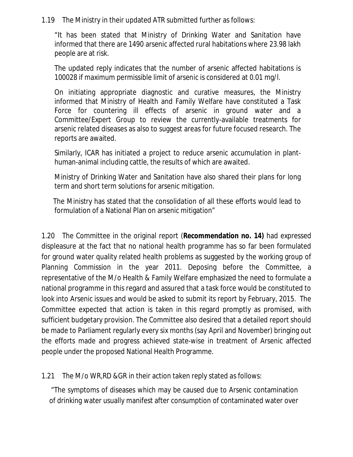1.19 The Ministry in their updated ATR submitted further as follows:

"It has been stated that Ministry of Drinking Water and Sanitation have informed that there are 1490 arsenic affected rural habitations where 23.98 lakh people are at risk.

The updated reply indicates that the number of arsenic affected habitations is 100028 if maximum permissible limit of arsenic is considered at 0.01 mg/l.

On initiating appropriate diagnostic and curative measures, the Ministry informed that Ministry of Health and Family Welfare have constituted a Task Force for countering ill effects of arsenic in ground water and a Committee/Expert Group to review the currently-available treatments for arsenic related diseases as also to suggest areas for future focused research. The reports are awaited.

Similarly, ICAR has initiated a project to reduce arsenic accumulation in planthuman-animal including cattle, the results of which are awaited.

Ministry of Drinking Water and Sanitation have also shared their plans for long term and short term solutions for arsenic mitigation.

The Ministry has stated that the consolidation of all these efforts would lead to formulation of a National Plan on arsenic mitigation"

1.20 The Committee in the original report (**Recommendation no. 14)** had expressed displeasure at the fact that no national health programme has so far been formulated for ground water quality related health problems as suggested by the working group of Planning Commission in the year 2011. Deposing before the Committee, a representative of the M/o Health & Family Welfare emphasized the need to formulate a national programme in this regard and assured that a task force would be constituted to look into Arsenic issues and would be asked to submit its report by February, 2015. The Committee expected that action is taken in this regard promptly as promised, with sufficient budgetary provision. The Committee also desired that a detailed report should be made to Parliament regularly every six months (say April and November) bringing out the efforts made and progress achieved state-wise in treatment of Arsenic affected people under the proposed National Health Programme.

1.21 The M/o WR,RD &GR in their action taken reply stated as follows:

"The symptoms of diseases which may be caused due to Arsenic contamination of drinking water usually manifest after consumption of contaminated water over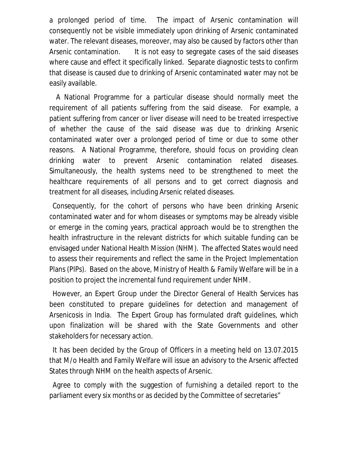a prolonged period of time. The impact of Arsenic contamination will consequently not be visible immediately upon drinking of Arsenic contaminated water. The relevant diseases, moreover, may also be caused by factors other than Arsenic contamination. It is not easy to segregate cases of the said diseases where cause and effect it specifically linked. Separate diagnostic tests to confirm that disease is caused due to drinking of Arsenic contaminated water may not be easily available.

A National Programme for a particular disease should normally meet the requirement of all patients suffering from the said disease. For example, a patient suffering from cancer or liver disease will need to be treated irrespective of whether the cause of the said disease was due to drinking Arsenic contaminated water over a prolonged period of time or due to some other reasons. A National Programme, therefore, should focus on providing clean drinking water to prevent Arsenic contamination related diseases. Simultaneously, the health systems need to be strengthened to meet the healthcare requirements of all persons and to get correct diagnosis and treatment for all diseases, including Arsenic related diseases.

Consequently, for the cohort of persons who have been drinking Arsenic contaminated water and for whom diseases or symptoms may be already visible or emerge in the coming years, practical approach would be to strengthen the health infrastructure in the relevant districts for which suitable funding can be envisaged under National Health Mission (NHM). The affected States would need to assess their requirements and reflect the same in the Project Implementation Plans (PIPs). Based on the above, Ministry of Health & Family Welfare will be in a position to project the incremental fund requirement under NHM.

However, an Expert Group under the Director General of Health Services has been constituted to prepare guidelines for detection and management of Arsenicosis in India. The Expert Group has formulated draft guidelines, which upon finalization will be shared with the State Governments and other stakeholders for necessary action.

It has been decided by the Group of Officers in a meeting held on 13.07.2015 that M/o Health and Family Welfare will issue an advisory to the Arsenic affected States through NHM on the health aspects of Arsenic.

Agree to comply with the suggestion of furnishing a detailed report to the parliament every six months or as decided by the Committee of secretaries"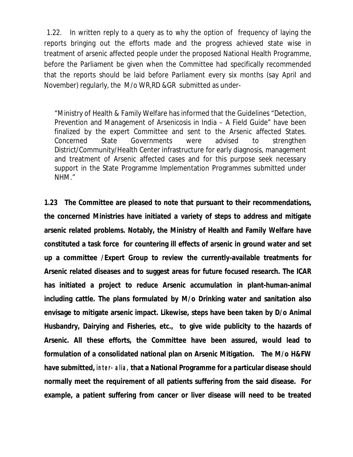1.22. In written reply to a query as to why the option of frequency of laying the reports bringing out the efforts made and the progress achieved state wise in treatment of arsenic affected people under the proposed National Health Programme, before the Parliament be given when the Committee had specifically recommended that the reports should be laid before Parliament every six months (say April and November) regularly, the M/o WR,RD &GR submitted as under-

"Ministry of Health & Family Welfare has informed that the Guidelines "Detection, Prevention and Management of Arsenicosis in India – A Field Guide" have been finalized by the expert Committee and sent to the Arsenic affected States. Concerned State Governments were advised to strengthen District/Community/Health Center infrastructure for early diagnosis, management and treatment of Arsenic affected cases and for this purpose seek necessary support in the State Programme Implementation Programmes submitted under NHM."

**1.23 The Committee are pleased to note that pursuant to their recommendations, the concerned Ministries have initiated a variety of steps to address and mitigate arsenic related problems. Notably, the Ministry of Health and Family Welfare have constituted a task force for countering ill effects of arsenic in ground water and set up a committee /Expert Group to review the currently-available treatments for Arsenic related diseases and to suggest areas for future focused research. The ICAR has initiated a project to reduce Arsenic accumulation in plant-human-animal including cattle. The plans formulated by M/o Drinking water and sanitation also envisage to mitigate arsenic impact. Likewise, steps have been taken by D/o Animal Husbandry, Dairying and Fisheries, etc., to give wide publicity to the hazards of Arsenic. All these efforts, the Committee have been assured, would lead to formulation of a consolidated national plan on Arsenic Mitigation. The M/o H&FW have submitted,** *inter- alia,* **that a National Programme for a particular disease should normally meet the requirement of all patients suffering from the said disease. For example, a patient suffering from cancer or liver disease will need to be treated**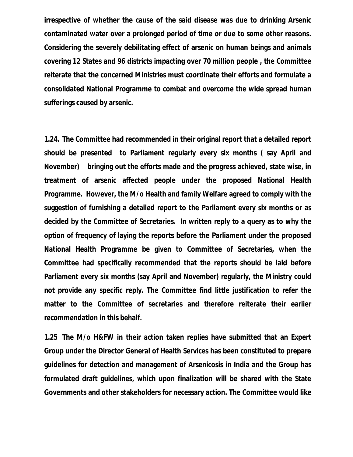**irrespective of whether the cause of the said disease was due to drinking Arsenic contaminated water over a prolonged period of time or due to some other reasons. Considering the severely debilitating effect of arsenic on human beings and animals covering 12 States and 96 districts impacting over 70 million people , the Committee reiterate that the concerned Ministries must coordinate their efforts and formulate a consolidated National Programme to combat and overcome the wide spread human sufferings caused by arsenic.** 

**1.24. The Committee had recommended in their original report that a detailed report should be presented to Parliament regularly every six months ( say April and November) bringing out the efforts made and the progress achieved, state wise, in treatment of arsenic affected people under the proposed National Health Programme. However, the M/o Health and family Welfare agreed to comply with the suggestion of furnishing a detailed report to the Parliament every six months or as decided by the Committee of Secretaries. In written reply to a query as to why the option of frequency of laying the reports before the Parliament under the proposed National Health Programme be given to Committee of Secretaries, when the Committee had specifically recommended that the reports should be laid before Parliament every six months (say April and November) regularly, the Ministry could not provide any specific reply. The Committee find little justification to refer the matter to the Committee of secretaries and therefore reiterate their earlier recommendation in this behalf.** 

**1.25 The M/o H&FW in their action taken replies have submitted that an Expert Group under the Director General of Health Services has been constituted to prepare guidelines for detection and management of Arsenicosis in India and the Group has formulated draft guidelines, which upon finalization will be shared with the State Governments and other stakeholders for necessary action. The Committee would like**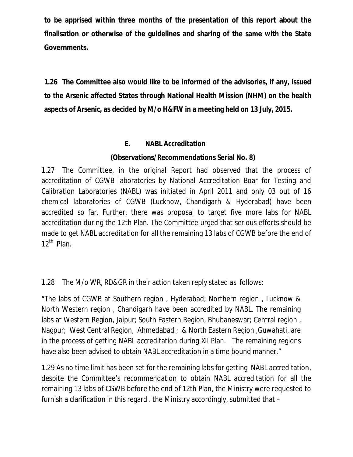**to be apprised within three months of the presentation of this report about the finalisation or otherwise of the guidelines and sharing of the same with the State Governments.**

**1.26 The Committee also would like to be informed of the advisories, if any, issued to the Arsenic affected States through National Health Mission (NHM) on the health aspects of Arsenic, as decided by M/o H&FW in a meeting held on 13 July, 2015.** 

# **E. NABL Accreditation**

# **(Observations/Recommendations Serial No. 8)**

1.27 The Committee, in the original Report had observed that the process of accreditation of CGWB laboratories by National Accreditation Boar for Testing and Calibration Laboratories (NABL) was initiated in April 2011 and only 03 out of 16 chemical laboratories of CGWB (Lucknow, Chandigarh & Hyderabad) have been accredited so far. Further, there was proposal to target five more labs for NABL accreditation during the 12th Plan. The Committee urged that serious efforts should be made to get NABL accreditation for all the remaining 13 labs of CGWB before the end of  $12<sup>th</sup>$  Plan.

# 1.28 The M/o WR, RD&GR in their action taken reply stated as follows:

"The labs of CGWB at Southern region , Hyderabad; Northern region , Lucknow & North Western region , Chandigarh have been accredited by NABL. The remaining labs at Western Region, Jaipur; South Eastern Region, Bhubaneswar; Central region , Nagpur; West Central Region, Ahmedabad ; & North Eastern Region ,Guwahati, are in the process of getting NABL accreditation during XII Plan. The remaining regions have also been advised to obtain NABL accreditation in a time bound manner."

1.29 As no time limit has been set for the remaining labs for getting NABL accreditation, despite the Committee's recommendation to obtain NABL accreditation for all the remaining 13 labs of CGWB before the end of 12th Plan, the Ministry were requested to furnish a clarification in this regard . the Ministry accordingly, submitted that –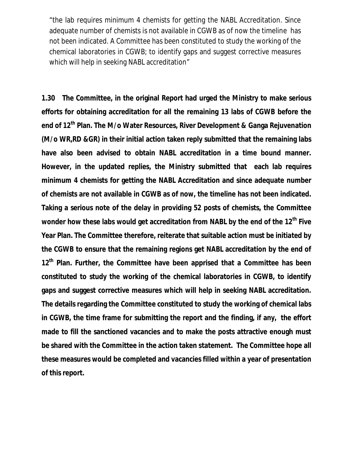"the lab requires minimum 4 chemists for getting the NABL Accreditation. Since adequate number of chemists is not available in CGWB as of now the timeline has not been indicated. A Committee has been constituted to study the working of the chemical laboratories in CGWB; to identify gaps and suggest corrective measures which will help in seeking NABL accreditation"

**1.30 The Committee, in the original Report had urged the Ministry to make serious efforts for obtaining accreditation for all the remaining 13 labs of CGWB before the end of 12th Plan. The M/o Water Resources, River Development & Ganga Rejuvenation (M/o WR,RD &GR) in their initial action taken reply submitted that the remaining labs have also been advised to obtain NABL accreditation in a time bound manner. However, in the updated replies, the Ministry submitted that each lab requires minimum 4 chemists for getting the NABL Accreditation and since adequate number of chemists are not available in CGWB as of now, the timeline has not been indicated. Taking a serious note of the delay in providing 52 posts of chemists, the Committee wonder how these labs would get accreditation from NABL by the end of the 12th Five Year Plan. The Committee therefore, reiterate that suitable action must be initiated by the CGWB to ensure that the remaining regions get NABL accreditation by the end of 12th Plan. Further, the Committee have been apprised that a Committee has been constituted to study the working of the chemical laboratories in CGWB, to identify gaps and suggest corrective measures which will help in seeking NABL accreditation. The details regarding the Committee constituted to study the working of chemical labs in CGWB, the time frame for submitting the report and the finding, if any, the effort made to fill the sanctioned vacancies and to make the posts attractive enough must be shared with the Committee in the action taken statement. The Committee hope all these measures would be completed and vacancies filled within a year of presentation of this report.**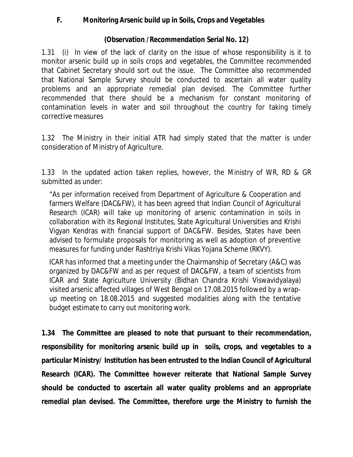**F. Monitoring Arsenic build up in Soils, Crops and Vegetables**

**(Observation /Recommendation Serial No. 12)**

1.31 (i) In view of the lack of clarity on the issue of whose responsibility is it to monitor arsenic build up in soils crops and vegetables, the Committee recommended that Cabinet Secretary should sort out the issue. The Committee also recommended that National Sample Survey should be conducted to ascertain all water quality problems and an appropriate remedial plan devised. The Committee further recommended that there should be a mechanism for constant monitoring of contamination levels in water and soil throughout the country for taking timely corrective measures

1.32 The Ministry in their initial ATR had simply stated that the matter is under consideration of Ministry of Agriculture.

1.33 In the updated action taken replies, however, the Ministry of WR, RD & GR submitted as under:

"As per information received from Department of Agriculture & Cooperation and farmers Welfare (DAC&FW), it has been agreed that Indian Council of Agricultural Research (ICAR) will take up monitoring of arsenic contamination in soils in collaboration with its Regional Institutes, State Agricultural Universities and Krishi Vigyan Kendras with financial support of DAC&FW. Besides, States have been advised to formulate proposals for monitoring as well as adoption of preventive measures for funding under Rashtriya Krishi Vikas Yojana Scheme (RKVY).

ICAR has informed that a meeting under the Chairmanship of Secretary (A&C) was organized by DAC&FW and as per request of DAC&FW, a team of scientists from ICAR and State Agriculture University (Bidhan Chandra Krishi Viswavidyalaya) visited arsenic affected villages of West Bengal on 17.08.2015 followed by a wrapup meeting on 18.08.2015 and suggested modalities along with the tentative budget estimate to carry out monitoring work.

**1.34 The Committee are pleased to note that pursuant to their recommendation, responsibility for monitoring arsenic build up in soils, crops, and vegetables to a particular Ministry/ Institution has been entrusted to the Indian Council of Agricultural Research (ICAR). The Committee however reiterate that National Sample Survey should be conducted to ascertain all water quality problems and an appropriate remedial plan devised. The Committee, therefore urge the Ministry to furnish the**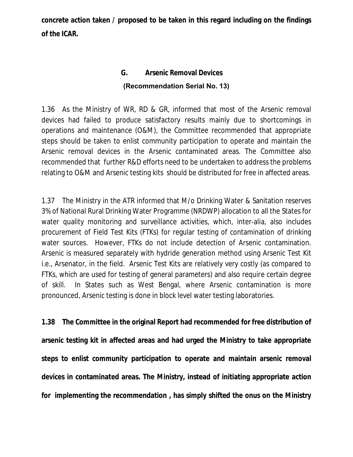**concrete action taken / proposed to be taken in this regard including on the findings of the ICAR.** 

# **G. Arsenic Removal Devices (Recommendation Serial No. 13)**

1.36 As the Ministry of WR, RD & GR, informed that most of the Arsenic removal devices had failed to produce satisfactory results mainly due to shortcomings in operations and maintenance (O&M), the Committee recommended that appropriate steps should be taken to enlist community participation to operate and maintain the Arsenic removal devices in the Arsenic contaminated areas. The Committee also recommended that further R&D efforts need to be undertaken to address the problems relating to O&M and Arsenic testing kits should be distributed for free in affected areas.

1.37 The Ministry in the ATR informed that M/o Drinking Water & Sanitation reserves 3% of National Rural Drinking Water Programme (NRDWP) allocation to all the States for water quality monitoring and surveillance activities, which, inter-alia, also includes procurement of Field Test Kits (FTKs) for regular testing of contamination of drinking water sources. However, FTKs do not include detection of Arsenic contamination. Arsenic is measured separately with hydride generation method using Arsenic Test Kit i.e., Arsenator, in the field. Arsenic Test Kits are relatively very costly (as compared to FTKs, which are used for testing of general parameters) and also require certain degree of skill. In States such as West Bengal, where Arsenic contamination is more pronounced, Arsenic testing is done in block level water testing laboratories.

**1.38 The Committee in the original Report had recommended for free distribution of arsenic testing kit in affected areas and had urged the Ministry to take appropriate steps to enlist community participation to operate and maintain arsenic removal devices in contaminated areas. The Ministry, instead of initiating appropriate action for implementing the recommendation , has simply shifted the onus on the Ministry**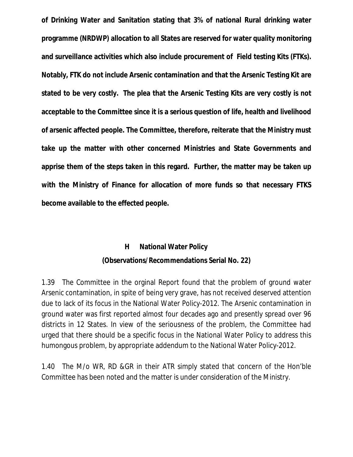**of Drinking Water and Sanitation stating that 3% of national Rural drinking water programme (NRDWP) allocation to all States are reserved for water quality monitoring and surveillance activities which also include procurement of Field testing Kits (FTKs). Notably, FTK do not include Arsenic contamination and that the Arsenic Testing Kit are stated to be very costly. The plea that the Arsenic Testing Kits are very costly is not acceptable to the Committee since it is a serious question of life, health and livelihood of arsenic affected people. The Committee, therefore, reiterate that the Ministry must take up the matter with other concerned Ministries and State Governments and apprise them of the steps taken in this regard. Further, the matter may be taken up with the Ministry of Finance for allocation of more funds so that necessary FTKS become available to the effected people.**

# **H National Water Policy (Observations/Recommendations Serial No. 22)**

1.39 The Committee in the orginal Report found that the problem of ground water Arsenic contamination, in spite of being very grave, has not received deserved attention due to lack of its focus in the National Water Policy-2012. The Arsenic contamination in ground water was first reported almost four decades ago and presently spread over 96 districts in 12 States. In view of the seriousness of the problem, the Committee had urged that there should be a specific focus in the National Water Policy to address this humongous problem, by appropriate addendum to the National Water Policy-2012.

1.40 The M/o WR, RD &GR in their ATR simply stated that concern of the Hon'ble Committee has been noted and the matter is under consideration of the Ministry.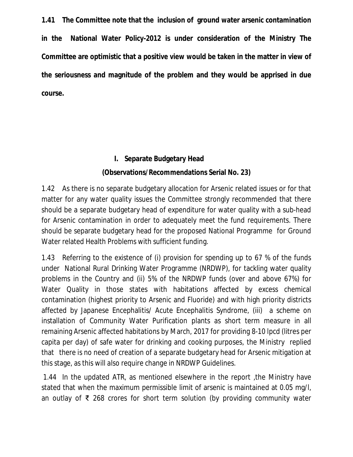**1.41 The Committee note that the inclusion of ground water arsenic contamination in the National Water Policy-2012 is under consideration of the Ministry The Committee are optimistic that a positive view would be taken in the matter in view of the seriousness and magnitude of the problem and they would be apprised in due course.**

> **I. Separate Budgetary Head (Observations/Recommendations Serial No. 23)**

1.42 As there is no separate budgetary allocation for Arsenic related issues or for that matter for any water quality issues the Committee strongly recommended that there should be a separate budgetary head of expenditure for water quality with a sub-head for Arsenic contamination in order to adequately meet the fund requirements. There should be separate budgetary head for the proposed National Programme for Ground Water related Health Problems with sufficient funding.

1.43 Referring to the existence of (i) provision for spending up to 67 % of the funds under National Rural Drinking Water Programme (NRDWP), for tackling water quality problems in the Country and (ii) 5% of the NRDWP funds (over and above 67%) for Water Quality in those states with habitations affected by excess chemical contamination (highest priority to Arsenic and Fluoride) and with high priority districts affected by Japanese Encephalitis/ Acute Encephalitis Syndrome, (iii) a scheme on installation of Community Water Purification plants as short term measure in all remaining Arsenic affected habitations by March, 2017 for providing 8-10 lpcd (litres per capita per day) of safe water for drinking and cooking purposes, the Ministry replied that there is no need of creation of a separate budgetary head for Arsenic mitigation at this stage, as this will also require change in NRDWP Guidelines.

1.44 In the updated ATR, as mentioned elsewhere in the report ,the Ministry have stated that when the maximum permissible limit of arsenic is maintained at 0.05 mg/l, an outlay of ₹ 268 crores for short term solution (by providing community water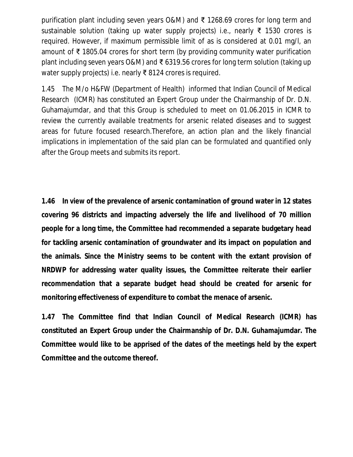purification plant including seven years O&M) and ₹ 1268.69 crores for long term and sustainable solution (taking up water supply projects) i.e., nearly ₹ 1530 crores is required. However, if maximum permissible limit of as is considered at 0.01 mg/l, an amount of ₹ 1805.04 crores for short term (by providing community water purification plant including seven years O&M) and ₹ 6319.56 crores for long term solution (taking up water supply projects) i.e. nearly ₹ 8124 crores is required.

1.45 The M/o H&FW (Department of Health) informed that Indian Council of Medical Research (ICMR) has constituted an Expert Group under the Chairmanship of Dr. D.N. Guhamajumdar, and that this Group is scheduled to meet on 01.06.2015 in ICMR to review the currently available treatments for arsenic related diseases and to suggest areas for future focused research.Therefore, an action plan and the likely financial implications in implementation of the said plan can be formulated and quantified only after the Group meets and submits its report.

**1.46 In view of the prevalence of arsenic contamination of ground water in 12 states covering 96 districts and impacting adversely the life and livelihood of 70 million people for a long time, the Committee had recommended a separate budgetary head for tackling arsenic contamination of groundwater and its impact on population and the animals. Since the Ministry seems to be content with the extant provision of NRDWP for addressing water quality issues, the Committee reiterate their earlier recommendation that a separate budget head should be created for arsenic for monitoring effectiveness of expenditure to combat the menace of arsenic.** 

**1.47 The Committee find that Indian Council of Medical Research (ICMR) has constituted an Expert Group under the Chairmanship of Dr. D.N. Guhamajumdar. The Committee would like to be apprised of the dates of the meetings held by the expert Committee and the outcome thereof.**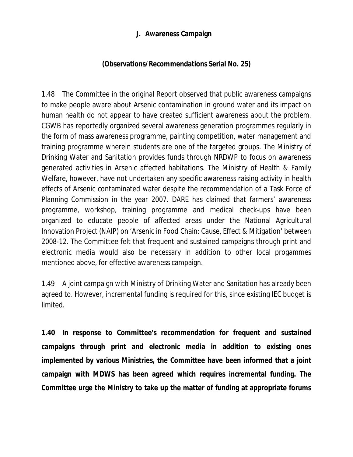# **J. Awareness Campaign**

# **(Observations/Recommendations Serial No. 25)**

1.48 The Committee in the original Report observed that public awareness campaigns to make people aware about Arsenic contamination in ground water and its impact on human health do not appear to have created sufficient awareness about the problem. CGWB has reportedly organized several awareness generation programmes regularly in the form of mass awareness programme, painting competition, water management and training programme wherein students are one of the targeted groups. The Ministry of Drinking Water and Sanitation provides funds through NRDWP to focus on awareness generated activities in Arsenic affected habitations. The Ministry of Health & Family Welfare, however, have not undertaken any specific awareness raising activity in health effects of Arsenic contaminated water despite the recommendation of a Task Force of Planning Commission in the year 2007. DARE has claimed that farmers' awareness programme, workshop, training programme and medical check-ups have been organized to educate people of affected areas under the National Agricultural Innovation Project (NAIP) on 'Arsenic in Food Chain: Cause, Effect & Mitigation' between 2008-12. The Committee felt that frequent and sustained campaigns through print and electronic media would also be necessary in addition to other local progammes mentioned above, for effective awareness campaign.

1.49 A joint campaign with Ministry of Drinking Water and Sanitation has already been agreed to. However, incremental funding is required for this, since existing IEC budget is limited.

**1.40 In response to Committee's recommendation for frequent and sustained campaigns through print and electronic media in addition to existing ones implemented by various Ministries, the Committee have been informed that a joint campaign with MDWS has been agreed which requires incremental funding. The Committee urge the Ministry to take up the matter of funding at appropriate forums**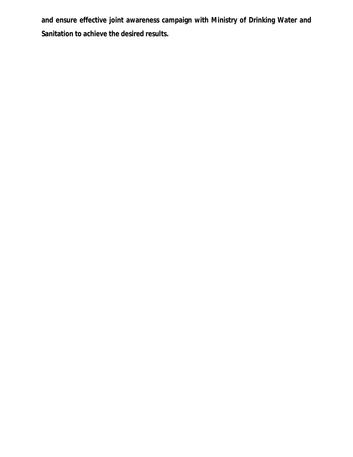**and ensure effective joint awareness campaign with Ministry of Drinking Water and Sanitation to achieve the desired results.**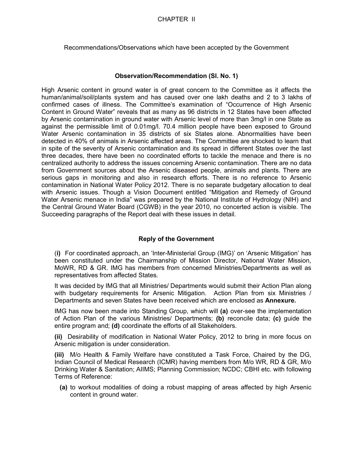Recommendations/Observations which have been accepted by the Government

## **Observation/Recommendation (Sl. No. 1)**

High Arsenic content in ground water is of great concern to the Committee as it affects the human/animal/soil/plants system and has caused over one lakh deaths and 2 to 3 lakhs of confirmed cases of illness. The Committee's examination of "Occurrence of High Arsenic Content in Ground Water" reveals that as many as 96 districts in 12 States have been affected by Arsenic contamination in ground water with Arsenic level of more than 3mg/l in one State as against the permissible limit of 0.01mg/l. 70.4 million people have been exposed to Ground Water Arsenic contamination in 35 districts of six States alone. Abnormalities have been detected in 40% of animals in Arsenic affected areas. The Committee are shocked to learn that in spite of the severity of Arsenic contamination and its spread in different States over the last three decades, there have been no coordinated efforts to tackle the menace and there is no centralized authority to address the issues concerning Arsenic contamination. There are no data from Government sources about the Arsenic diseased people, animals and plants. There are serious gaps in monitoring and also in research efforts. There is no reference to Arsenic contamination in National Water Policy 2012. There is no separate budgetary allocation to deal with Arsenic issues. Though a Vision Document entitled "Mitigation and Remedy of Ground Water Arsenic menace in India" was prepared by the National Institute of Hydrology (NIH) and the Central Ground Water Board (CGWB) in the year 2010, no concerted action is visible. The Succeeding paragraphs of the Report deal with these issues in detail.

## **Reply of the Government**

(**i)** For coordinated approach, an 'Inter-Ministerial Group (IMG)' on 'Arsenic Mitigation' has been constituted under the Chairmanship of Mission Director, National Water Mission, MoWR, RD & GR. IMG has members from concerned Ministries/Departments as well as representatives from affected States.

It was decided by IMG that all Ministries/ Departments would submit their Action Plan along with budgetary requirements for Arsenic Mitigation. Action Plan from six Ministries / Departments and seven States have been received which are enclosed as **Annexure.** 

IMG has now been made into Standing Group, which will **(a)** over-see the implementation of Action Plan of the various Ministries/ Departments; **(b)** reconcile data; **(c)** guide the entire program and; **(d)** coordinate the efforts of all Stakeholders.

**(ii)** Desirability of modification in National Water Policy, 2012 to bring in more focus on Arsenic mitigation is under consideration.

**(iii)** M/o Health & Family Welfare have constituted a Task Force, Chaired by the DG, Indian Council of Medical Research (ICMR) having members from M/o WR, RD & GR, M/o Drinking Water & Sanitation; AIIMS; Planning Commission; NCDC; CBHI etc. with following Terms of Reference:

**(a)** to workout modalities of doing a robust mapping of areas affected by high Arsenic content in ground water.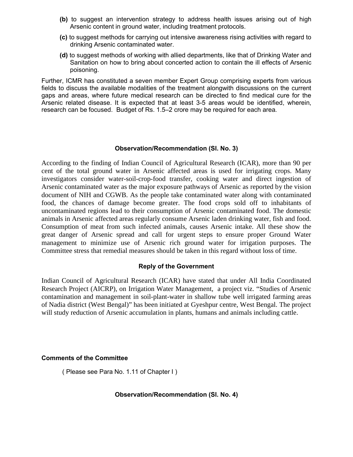- **(b)** to suggest an intervention strategy to address health issues arising out of high Arsenic content in ground water, including treatment protocols.
- **(c)** to suggest methods for carrying out intensive awareness rising activities with regard to drinking Arsenic contaminated water.
- **(d)** to suggest methods of working with allied departments, like that of Drinking Water and Sanitation on how to bring about concerted action to contain the ill effects of Arsenic poisoning.

Further, ICMR has constituted a seven member Expert Group comprising experts from various fields to discuss the available modalities of the treatment alongwith discussions on the current gaps and areas, where future medical research can be directed to find medical cure for the Arsenic related disease. It is expected that at least 3-5 areas would be identified, wherein, research can be focused. Budget of Rs. 1.5–2 crore may be required for each area.

#### **Observation/Recommendation (Sl. No. 3)**

According to the finding of Indian Council of Agricultural Research (ICAR), more than 90 per cent of the total ground water in Arsenic affected areas is used for irrigating crops. Many investigators consider water-soil-crop-food transfer, cooking water and direct ingestion of Arsenic contaminated water as the major exposure pathways of Arsenic as reported by the vision document of NIH and CGWB. As the people take contaminated water along with contaminated food, the chances of damage become greater. The food crops sold off to inhabitants of uncontaminated regions lead to their consumption of Arsenic contaminated food. The domestic animals in Arsenic affected areas regularly consume Arsenic laden drinking water, fish and food. Consumption of meat from such infected animals, causes Arsenic intake. All these show the great danger of Arsenic spread and call for urgent steps to ensure proper Ground Water management to minimize use of Arsenic rich ground water for irrigation purposes. The Committee stress that remedial measures should be taken in this regard without loss of time.

## **Reply of the Government**

Indian Council of Agricultural Research (ICAR) have stated that under All India Coordinated Research Project (AICRP), on Irrigation Water Management, a project viz. "Studies of Arsenic contamination and management in soil-plant-water in shallow tube well irrigated farming areas of Nadia district (West Bengal)" has been initiated at Gyeshpur centre, West Bengal. The project will study reduction of Arsenic accumulation in plants, humans and animals including cattle.

#### **Comments of the Committee**

( Please see Para No. 1.11 of Chapter I )

## **Observation/Recommendation (Sl. No. 4)**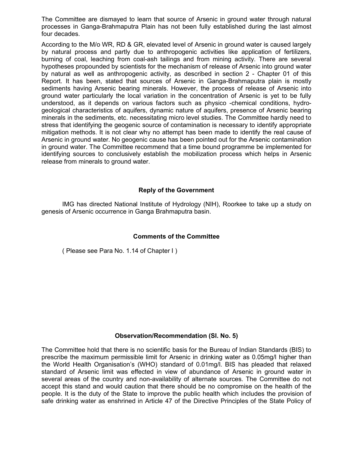The Committee are dismayed to learn that source of Arsenic in ground water through natural processes in Ganga-Brahmaputra Plain has not been fully established during the last almost four decades.

According to the M/o WR, RD & GR, elevated level of Arsenic in ground water is caused largely by natural process and partly due to anthropogenic activities like application of fertilizers, burning of coal, leaching from coal-ash tailings and from mining activity. There are several hypotheses propounded by scientists for the mechanism of release of Arsenic into ground water by natural as well as anthropogenic activity, as described in section 2 - Chapter 01 of this Report. It has been, stated that sources of Arsenic in Ganga-Brahmaputra plain is mostly sediments having Arsenic bearing minerals. However, the process of release of Arsenic into ground water particularly the local variation in the concentration of Arsenic is yet to be fully understood, as it depends on various factors such as physico -chemical conditions, hydrogeological characteristics of aquifers, dynamic nature of aquifers, presence of Arsenic bearing minerals in the sediments, etc. necessitating micro level studies. The Committee hardly need to stress that identifying the geogenic source of contamination is necessary to identify appropriate mitigation methods. It is not clear why no attempt has been made to identify the real cause of Arsenic in ground water. No geogenic cause has been pointed out for the Arsenic contamination in ground water. The Committee recommend that a time bound programme be implemented for identifying sources to conclusively establish the mobilization process which helps in Arsenic release from minerals to ground water.

## **Reply of the Government**

IMG has directed National Institute of Hydrology (NIH), Roorkee to take up a study on genesis of Arsenic occurrence in Ganga Brahmaputra basin.

## **Comments of the Committee**

( Please see Para No. 1.14 of Chapter I )

#### **Observation/Recommendation (Sl. No. 5)**

The Committee hold that there is no scientific basis for the Bureau of Indian Standards (BIS) to prescribe the maximum permissible limit for Arsenic in drinking water as 0.05mg/l higher than the World Health Organisation's (WHO) standard of 0.01mg/l. BIS has pleaded that relaxed standard of Arsenic limit was effected in view of abundance of Arsenic in ground water in several areas of the country and non-availability of alternate sources. The Committee do not accept this stand and would caution that there should be no compromise on the health of the people. It is the duty of the State to improve the public health which includes the provision of safe drinking water as enshrined in Article 47 of the Directive Principles of the State Policy of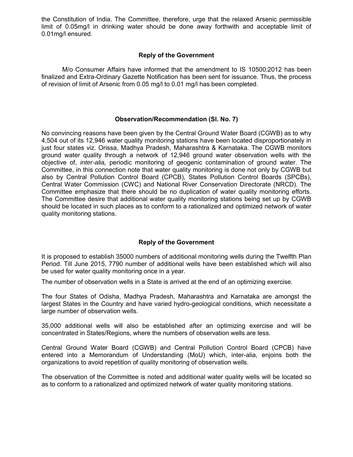the Constitution of India. The Committee, therefore, urge that the relaxed Arsenic permissible limit of 0.05mg/l in drinking water should be done away forthwith and acceptable limit of 0.01mg/l ensured.

#### **Reply of the Government**

M/o Consumer Affairs have informed that the amendment to IS 10500:2012 has been finalized and Extra-Ordinary Gazette Notification has been sent for issuance. Thus, the process of revision of limit of Arsenic from 0.05 mg/l to 0.01 mg/l has been completed.

#### **Observation/Recommendation (Sl. No. 7)**

No convincing reasons have been given by the Central Ground Water Board (CGWB) as to why 4,504 out of its 12,946 water quality monitoring stations have been located disproportionately in just four states viz. Orissa, Madhya Pradesh, Maharashtra & Karnataka. The CGWB monitors ground water quality through a network of 12,946 ground water observation wells with the objective of, *inter-alia,* periodic monitoring of geogenic contamination of ground water. The Committee, in this connection note that water quality monitoring is done not only by CGWB but also by Central Pollution Control Board (CPCB), States Pollution Control Boards (SPCBs), Central Water Commission (CWC) and National River Conservation Directorate (NRCD). The Committee emphasize that there should be no duplication of water quality monitoring efforts. The Committee desire that additional water quality monitoring stations being set up by CGWB should be located in such places as to conform to a rationalized and optimized network of water quality monitoring stations.

## **Reply of the Government**

It is proposed to establish 35000 numbers of additional monitoring wells during the Twelfth Plan Period. Till June 2015, 7790 number of additional wells have been established which will also be used for water quality monitoring once in a year.

The number of observation wells in a State is arrived at the end of an optimizing exercise.

The four States of Odisha, Madhya Pradesh, Maharashtra and Karnataka are amongst the largest States in the Country and have varied hydro-geological conditions, which necessitate a large number of observation wells.

35,000 additional wells will also be established after an optimizing exercise and will be concentrated in States/Regions, where the numbers of observation wells are less.

Central Ground Water Board (CGWB) and Central Pollution Control Board (CPCB) have entered into a Memorandum of Understanding (MoU) which, inter-alia, enjoins both the organizations to avoid repetition of quality monitoring of observation wells.

The observation of the Committee is noted and additional water quality wells will be located so as to conform to a rationalized and optimized network of water quality monitoring stations.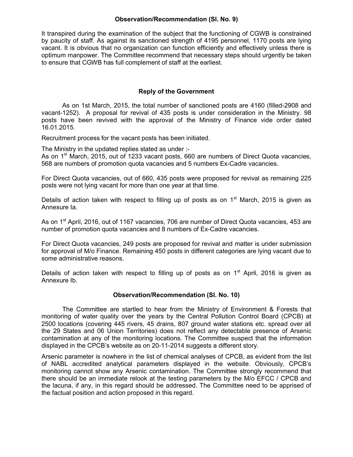### **Observation/Recommendation (Sl. No. 9)**

It transpired during the examination of the subject that the functioning of CGWB is constrained by paucity of staff. As against its sanctioned strength of 4195 personnel, 1170 posts are lying vacant. It is obvious that no organization can function efficiently and effectively unless there is optimum manpower. The Committee recommend that necessary steps should urgently be taken to ensure that CGWB has full complement of staff at the earliest.

### **Reply of the Government**

As on 1st March, 2015, the total number of sanctioned posts are 4160 (filled-2908 and vacant-1252). A proposal for revival of 435 posts is under consideration in the Ministry. 98 posts have been revived with the approval of the Ministry of Finance vide order dated 16.01.2015.

Recruitment process for the vacant posts has been initiated.

The Ministry in the updated replies stated as under :-

As on 1<sup>st</sup> March, 2015, out of 1233 vacant posts, 660 are numbers of Direct Quota vacancies, 568 are numbers of promotion quota vacancies and 5 numbers Ex-Cadre vacancies.

For Direct Quota vacancies, out of 660, 435 posts were proposed for revival as remaining 225 posts were not lying vacant for more than one year at that time.

Details of action taken with respect to filling up of posts as on  $1<sup>st</sup>$  March, 2015 is given as Annexure Ia.

As on 1<sup>st</sup> April, 2016, out of 1167 vacancies, 706 are number of Direct Quota vacancies, 453 are number of promotion quota vacancies and 8 numbers of Ex-Cadre vacancies.

For Direct Quota vacancies, 249 posts are proposed for revival and matter is under submission for approval of M/o Finance. Remaining 450 posts in different categories are lying vacant due to some administrative reasons.

Details of action taken with respect to filling up of posts as on  $1<sup>st</sup>$  April, 2016 is given as Annexure Ib.

#### **Observation/Recommendation (Sl. No. 10)**

The Committee are startled to hear from the Ministry of Environment & Forests that monitoring of water quality over the years by the Central Pollution Control Board (CPCB) at 2500 locations (covering 445 rivers, 45 drains, 807 ground water stations etc. spread over all the 29 States and 06 Union Territories) does not reflect any detectable presence of Arsenic contamination at any of the monitoring locations. The Committee suspect that the information displayed in the CPCB's website as on 20-11-2014 suggests a different story.

Arsenic parameter is nowhere in the list of chemical analyses of CPCB, as evident from the list of NABL accredited analytical parameters displayed in the website. Obviously, CPCB's monitoring cannot show any Arsenic contamination. The Committee strongly recommend that there should be an immediate relook at the testing parameters by the M/o EFCC / CPCB and the lacuna, if any, in this regard should be addressed. The Committee need to be apprised of the factual position and action proposed in this regard.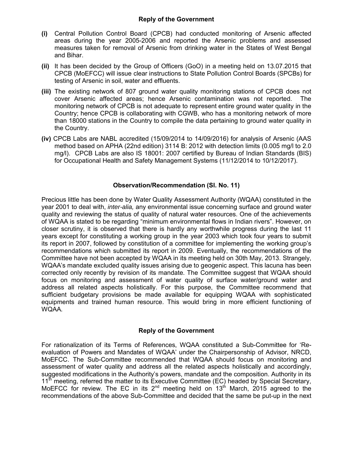## **Reply of the Government**

- **(i)** Central Pollution Control Board (CPCB) had conducted monitoring of Arsenic affected areas during the year 2005-2006 and reported the Arsenic problems and assessed measures taken for removal of Arsenic from drinking water in the States of West Bengal and Bihar.
- **(ii)** It has been decided by the Group of Officers (GoO) in a meeting held on 13.07.2015 that CPCB (MoEFCC) will issue clear instructions to State Pollution Control Boards (SPCBs) for testing of Arsenic in soil, water and effluents.
- **(iii)** The existing network of 807 ground water quality monitoring stations of CPCB does not cover Arsenic affected areas; hence Arsenic contamination was not reported. The monitoring network of CPCB is not adequate to represent entire ground water quality in the Country; hence CPCB is collaborating with CGWB, who has a monitoring network of more than 18000 stations in the Country to compile the data pertaining to ground water quality in the Country.
- **(iv)** CPCB Labs are NABL accredited (15/09/2014 to 14/09/2016) for analysis of Arsenic (AAS method based on APHA (22nd edition) 3114 B: 2012 with detection limits (0.005 mg/l to 2.0 mg/l). CPCB Labs are also IS 18001: 2007 certified by Bureau of Indian Standards (BIS) for Occupational Health and Safety Management Systems (11/12/2014 to 10/12/2017).

## **Observation/Recommendation (Sl. No. 11)**

Precious little has been done by Water Quality Assessment Authority (WQAA) constituted in the year 2001 to deal with, *inter-alia,* any environmental issue concerning surface and ground water quality and reviewing the status of quality of natural water resources. One of the achievements of WQAA is stated to be regarding "minimum environmental flows in Indian rivers". However, on closer scrutiny, it is observed that there is hardly any worthwhile progress during the last 11 years except for constituting a working group in the year 2003 which took four years to submit its report in 2007, followed by constitution of a committee for implementing the working group's recommendations which submitted its report in 2009. Eventually, the recommendations of the Committee have not been accepted by WQAA in its meeting held on 30th May, 2013. Strangely, WQAA's mandate excluded quality issues arising due to geogenic aspect. This lacuna has been corrected only recently by revision of its mandate. The Committee suggest that WQAA should focus on monitoring and assessment of water quality of surface water/ground water and address all related aspects holistically. For this purpose, the Committee recommend that sufficient budgetary provisions be made available for equipping WQAA with sophisticated equipments and trained human resource. This would bring in more efficient functioning of WQAA.

## **Reply of the Government**

For rationalization of its Terms of References, WQAA constituted a Sub-Committee for 'Reevaluation of Powers and Mandates of WQAA' under the Chairpersonship of Advisor, NRCD, MoEFCC. The Sub-Committee recommended that WQAA should focus on monitoring and assessment of water quality and address all the related aspects holistically and accordingly, suggested modifications in the Authority's powers, mandate and the composition. Authority in its 11<sup>th</sup> meeting, referred the matter to its Executive Committee (EC) headed by Special Secretary, MoEFCC for review. The EC in its  $2^{nd}$  meeting held on  $13<sup>th</sup>$  March, 2015 agreed to the recommendations of the above Sub-Committee and decided that the same be put-up in the next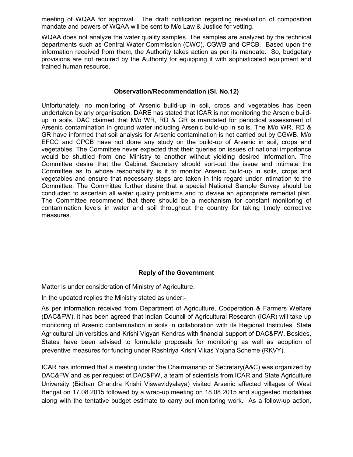meeting of WQAA for approval. The draft notification regarding revaluation of composition mandate and powers of WQAA will be sent to M/o Law & Justice for vetting.

WQAA does not analyze the water quality samples. The samples are analyzed by the technical departments such as Central Water Commission (CWC), CGWB and CPCB. Based upon the information received from them, the Authority takes action as per its mandate. So, budgetary provisions are not required by the Authority for equipping it with sophisticated equipment and trained human resource.

#### **Observation/Recommendation (Sl. No.12)**

Unfortunately, no monitoring of Arsenic build-up in soil, crops and vegetables has been undertaken by any organisation. DARE has stated that ICAR is not monitoring the Arsenic buildup in soils. DAC claimed that M/o WR, RD & GR is mandated for periodical assessment of Arsenic contamination in ground water including Arsenic build-up in soils. The M/o WR, RD & GR have informed that soil analysis for Arsenic contamination is not carried out by CGWB. M/o EFCC and CPCB have not done any study on the build-up of Arsenic in soil, crops and vegetables. The Committee never expected that their queries on issues of national importance would be shuttled from one Ministry to another without yielding desired information. The Committee desire that the Cabinet Secretary should sort-out the issue and intimate the Committee as to whose responsibility is it to monitor Arsenic build-up in soils, crops and vegetables and ensure that necessary steps are taken in this regard under intimation to the Committee. The Committee further desire that a special National Sample Survey should be conducted to ascertain all water quality problems and to devise an appropriate remedial plan. The Committee recommend that there should be a mechanism for constant monitoring of contamination levels in water and soil throughout the country for taking timely corrective measures.

## **Reply of the Government**

Matter is under consideration of Ministry of Agriculture.

In the updated replies the Ministry stated as under:-

As per information received from Department of Agriculture, Cooperation & Farmers Welfare (DAC&FW), it has been agreed that Indian Council of Agricultural Research (ICAR) will take up monitoring of Arsenic contamination in soils in collaboration with its Regional Institutes, State Agricultural Universities and Krishi Vigyan Kendras with financial support of DAC&FW. Besides, States have been advised to formulate proposals for monitoring as well as adoption of preventive measures for funding under Rashtriya Krishi Vikas Yojana Scheme (RKVY).

ICAR has informed that a meeting under the Chairmanship of Secretary(A&C) was organized by DAC&FW and as per request of DAC&FW, a team of scientists from ICAR and State Agriculture University (Bidhan Chandra Krishi Viswavidyalaya) visited Arsenic affected villages of West Bengal on 17.08.2015 followed by a wrap-up meeting on 18.08.2015 and suggested modalities along with the tentative budget estimate to carry out monitoring work. As a follow-up action,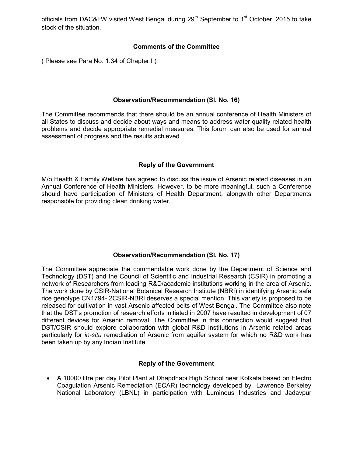officials from DAC&FW visited West Bengal during 29<sup>th</sup> September to 1<sup>st</sup> October, 2015 to take stock of the situation.

## **Comments of the Committee**

( Please see Para No. 1.34 of Chapter I )

### **Observation/Recommendation (Sl. No. 16)**

The Committee recommends that there should be an annual conference of Health Ministers of all States to discuss and decide about ways and means to address water quality related health problems and decide appropriate remedial measures. This forum can also be used for annual assessment of progress and the results achieved.

## **Reply of the Government**

M/o Health & Family Welfare has agreed to discuss the issue of Arsenic related diseases in an Annual Conference of Health Ministers. However, to be more meaningful, such a Conference should have participation of Ministers of Health Department, alongwith other Departments responsible for providing clean drinking water.

## **Observation/Recommendation (Sl. No. 17)**

The Committee appreciate the commendable work done by the Department of Science and Technology (DST) and the Council of Scientific and Industrial Research (CSIR) in promoting a network of Researchers from leading R&D/academic institutions working in the area of Arsenic. The work done by CSIR-National Botanical Research Institute (NBRI) in identifying Arsenic safe rice genotype CN1794- 2CSIR-NBRI deserves a special mention. This variety is proposed to be released for cultivation in vast Arsenic affected belts of West Bengal. The Committee also note that the DST's promotion of research efforts initiated in 2007 have resulted in development of 07 different devices for Arsenic removal. The Committee in this connection would suggest that DST/CSIR should explore collaboration with global R&D institutions in Arsenic related areas particularly for *in-situ* remediation of Arsenic from aquifer system for which no R&D work has been taken up by any Indian Institute.

## **Reply of the Government**

■ A 10000 litre per day Pilot Plant at Dhapdhapi High School near Kolkata based on Electro Coagulation Arsenic Remediation (ECAR) technology developed by Lawrence Berkeley National Laboratory (LBNL) in participation with Luminous Industries and Jadavpur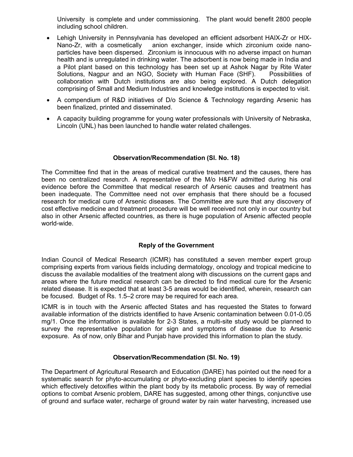University is complete and under commissioning. The plant would benefit 2800 people including school children.

- ∑ Lehigh University in Pennsylvania has developed an efficient adsorbent HAIX-Zr or HIX-Nano-Zr, with a cosmetically anion exchanger, inside which zirconium oxide nanoparticles have been dispersed. Zirconium is innocuous with no adverse impact on human health and is unregulated in drinking water. The adsorbent is now being made in India and a Pilot plant based on this technology has been set up at Ashok Nagar by Rite Water Solutions, Nagpur and an NGO, Society with Human Face (SHF). Possibilities of collaboration with Dutch institutions are also being explored. A Dutch delegation comprising of Small and Medium Industries and knowledge institutions is expected to visit.
- A compendium of R&D initiatives of D/o Science & Technology regarding Arsenic has been finalized, printed and disseminated.
- A capacity building programme for young water professionals with University of Nebraska, Lincoln (UNL) has been launched to handle water related challenges.

#### **Observation/Recommendation (Sl. No. 18)**

The Committee find that in the areas of medical curative treatment and the causes, there has been no centralized research. A representative of the M/o H&FW admitted during his oral evidence before the Committee that medical research of Arsenic causes and treatment has been inadequate. The Committee need not over emphasis that there should be a focused research for medical cure of Arsenic diseases. The Committee are sure that any discovery of cost effective medicine and treatment procedure will be well received not only in our country but also in other Arsenic affected countries, as there is huge population of Arsenic affected people world-wide.

## **Reply of the Government**

Indian Council of Medical Research (ICMR) has constituted a seven member expert group comprising experts from various fields including dermatology, oncology and tropical medicine to discuss the available modalities of the treatment along with discussions on the current gaps and areas where the future medical research can be directed to find medical cure for the Arsenic related disease. It is expected that at least 3-5 areas would be identified, wherein, research can be focused. Budget of Rs. 1.5–2 crore may be required for each area.

ICMR is in touch with the Arsenic affected States and has requested the States to forward available information of the districts identified to have Arsenic contamination between 0.01-0.05 mg/1. Once the information is available for 2-3 States, a multi-site study would be planned to survey the representative population for sign and symptoms of disease due to Arsenic exposure. As of now, only Bihar and Punjab have provided this information to plan the study.

#### **Observation/Recommendation (Sl. No. 19)**

The Department of Agricultural Research and Education (DARE) has pointed out the need for a systematic search for phyto-accumulating or phyto-excluding plant species to identify species which effectively detoxifies within the plant body by its metabolic process. By way of remedial options to combat Arsenic problem, DARE has suggested, among other things, conjunctive use of ground and surface water, recharge of ground water by rain water harvesting, increased use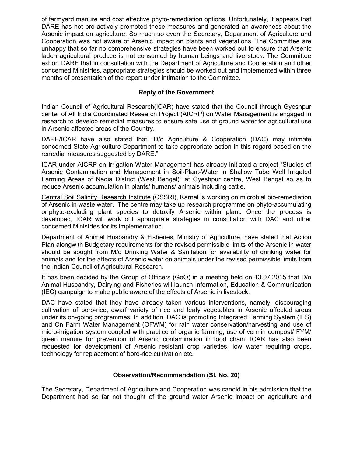of farmyard manure and cost effective phyto-remediation options. Unfortunately, it appears that DARE has not pro-actively promoted these measures and generated an awareness about the Arsenic impact on agriculture. So much so even the Secretary, Department of Agriculture and Cooperation was not aware of Arsenic impact on plants and vegetations. The Committee are unhappy that so far no comprehensive strategies have been worked out to ensure that Arsenic laden agricultural produce is not consumed by human beings and live stock. The Committee exhort DARE that in consultation with the Department of Agriculture and Cooperation and other concerned Ministries, appropriate strategies should be worked out and implemented within three months of presentation of the report under intimation to the Committee.

## **Reply of the Government**

Indian Council of Agricultural Research(ICAR) have stated that the Council through Gyeshpur center of All India Coordinated Research Project (AICRP) on Water Management is engaged in research to develop remedial measures to ensure safe use of ground water for agricultural use in Arsenic affected areas of the Country.

DARE/ICAR have also stated that "D/o Agriculture & Cooperation (DAC) may intimate concerned State Agriculture Department to take appropriate action in this regard based on the remedial measures suggested by DARE."

ICAR under AICRP on Irrigation Water Management has already initiated a project "Studies of Arsenic Contamination and Management in Soil-Plant-Water in Shallow Tube Well Irrigated Farming Areas of Nadia District (West Bengal)" at Gyeshpur centre, West Bengal so as to reduce Arsenic accumulation in plants/ humans/ animals including cattle.

[Central Soil Salinity Research Institute](http://www.cssri.org/) (CSSRI), Karnal is working on microbial bio-remediation of Arsenic in waste water. The centre may take up research programme on phyto-accumulating or phyto-excluding plant species to detoxify Arsenic within plant. Once the process is developed, ICAR will work out appropriate strategies in consultation with DAC and other concerned Ministries for its implementation.

Department of Animal Husbandry & Fisheries, Ministry of Agriculture, have stated that Action Plan alongwith Budgetary requirements for the revised permissible limits of the Arsenic in water should be sought from M/o Drinking Water & Sanitation for availability of drinking water for animals and for the affects of Arsenic water on animals under the revised permissible limits from the Indian Council of Agricultural Research.

It has been decided by the Group of Officers (GoO) in a meeting held on 13.07.2015 that D/o Animal Husbandry, Dairying and Fisheries will launch Information, Education & Communication (IEC) campaign to make public aware of the effects of Arsenic in livestock.

DAC have stated that they have already taken various interventions, namely, discouraging cultivation of boro-rice, dwarf variety of rice and leafy vegetables in Arsenic affected areas under its on-going programmes. In addition, DAC is promoting Integrated Farming System (IFS) and On Farm Water Management (OFWM) for rain water conservation/harvesting and use of micro-irrigation system coupled with practice of organic farming, use of vermin compost/ FYM/ green manure for prevention of Arsenic contamination in food chain. ICAR has also been requested for development of Arsenic resistant crop varieties, low water requiring crops, technology for replacement of boro-rice cultivation etc.

## **Observation/Recommendation (Sl. No. 20)**

The Secretary, Department of Agriculture and Cooperation was candid in his admission that the Department had so far not thought of the ground water Arsenic impact on agriculture and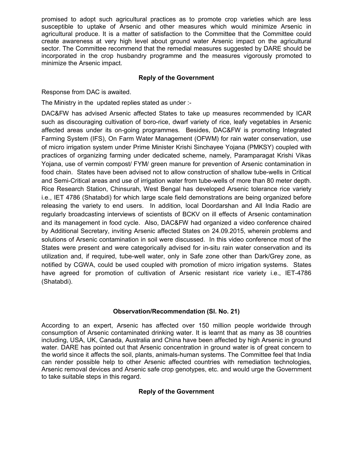promised to adopt such agricultural practices as to promote crop varieties which are less susceptible to uptake of Arsenic and other measures which would minimize Arsenic in agricultural produce. It is a matter of satisfaction to the Committee that the Committee could create awareness at very high level about ground water Arsenic impact on the agricultural sector. The Committee recommend that the remedial measures suggested by DARE should be incorporated in the crop husbandry programme and the measures vigorously promoted to minimize the Arsenic impact.

## **Reply of the Government**

Response from DAC is awaited.

The Ministry in the updated replies stated as under :-

DAC&FW has advised Arsenic affected States to take up measures recommended by ICAR such as discouraging cultivation of boro-rice, dwarf variety of rice, leafy vegetables in Arsenic affected areas under its on-going programmes. Besides, DAC&FW is promoting Integrated Farming System (IFS), On Farm Water Management (OFWM) for rain water conservation, use of micro irrigation system under Prime Minister Krishi Sinchayee Yojana (PMKSY) coupled with practices of organizing farming under dedicated scheme, namely, Paramparagat Krishi Vikas Yojana, use of vermin compost/ FYM/ green manure for prevention of Arsenic contamination in food chain. States have been advised not to allow construction of shallow tube-wells in Critical and Semi-Critical areas and use of irrigation water from tube-wells of more than 80 meter depth. Rice Research Station, Chinsurah, West Bengal has developed Arsenic tolerance rice variety i.e., IET 4786 (Shatabdi) for which large scale field demonstrations are being organized before releasing the variety to end users. In addition, local Doordarshan and All India Radio are regularly broadcasting interviews of scientists of BCKV on ill effects of Arsenic contamination and its management in food cycle. Also, DAC&FW had organized a video conference chaired by Additional Secretary, inviting Arsenic affected States on 24.09.2015, wherein problems and solutions of Arsenic contamination in soil were discussed. In this video conference most of the States were present and were categorically advised for in-situ rain water conservation and its utilization and, if required, tube-well water, only in Safe zone other than Dark/Grey zone, as notified by CGWA, could be used coupled with promotion of micro irrigation systems. States have agreed for promotion of cultivation of Arsenic resistant rice variety i.e., IET-4786 (Shatabdi).

## **Observation/Recommendation (Sl. No. 21)**

According to an expert, Arsenic has affected over 150 million people worldwide through consumption of Arsenic contaminated drinking water. It is learnt that as many as 38 countries including, USA, UK, Canada, Australia and China have been affected by high Arsenic in ground water. DARE has pointed out that Arsenic concentration in ground water is of great concern to the world since it affects the soil, plants, animals-human systems. The Committee feel that India can render possible help to other Arsenic affected countries with remediation technologies, Arsenic removal devices and Arsenic safe crop genotypes, etc. and would urge the Government to take suitable steps in this regard.

## **Reply of the Government**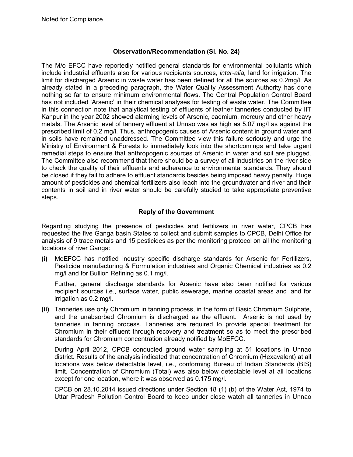Noted for Compliance.

### **Observation/Recommendation (Sl. No. 24)**

The M/o EFCC have reportedly notified general standards for environmental pollutants which include industrial effluents also for various recipients sources, *inter-alia,* land for irrigation. The limit for discharged Arsenic in waste water has been defined for all the sources as 0.2mg/l. As already stated in a preceding paragraph, the Water Quality Assessment Authority has done nothing so far to ensure minimum environmental flows. The Central Population Control Board has not included 'Arsenic' in their chemical analyses for testing of waste water. The Committee in this connection note that analytical testing of effluents of leather tanneries conducted by IIT Kanpur in the year 2002 showed alarming levels of Arsenic, cadmium, mercury and other heavy metals. The Arsenic level of tannery effluent at Unnao was as high as 5.07 mg/l as against the prescribed limit of 0.2 mg/l. Thus, anthropogenic causes of Arsenic content in ground water and in soils have remained unaddressed. The Committee view this failure seriously and urge the Ministry of Environment & Forests to immediately look into the shortcomings and take urgent remedial steps to ensure that anthropogenic sources of Arsenic in water and soil are plugged. The Committee also recommend that there should be a survey of all industries on the river side to check the quality of their effluents and adherence to environmental standards. They should be closed if they fail to adhere to effluent standards besides being imposed heavy penalty. Huge amount of pesticides and chemical fertilizers also leach into the groundwater and river and their contents in soil and in river water should be carefully studied to take appropriate preventive steps.

## **Reply of the Government**

Regarding studying the presence of pesticides and fertilizers in river water, CPCB has requested the five Ganga basin States to collect and submit samples to CPCB, Delhi Office for analysis of 9 trace metals and 15 pesticides as per the monitoring protocol on all the monitoring locations of river Ganga:

**(i)** MoEFCC has notified industry specific discharge standards for Arsenic for Fertilizers, Pesticide manufacturing & Formulation industries and Organic Chemical industries as 0.2 mg/l and for Bullion Refining as 0.1 mg/l.

Further, general discharge standards for Arsenic have also been notified for various recipient sources i.e., surface water, public sewerage, marine coastal areas and land for irrigation as 0.2 mg/l.

**(ii)** Tanneries use only Chromium in tanning process, in the form of Basic Chromium Sulphate, and the unabsorbed Chromium is discharged as the effluent. Arsenic is not used by tanneries in tanning process. Tanneries are required to provide special treatment for Chromium in their effluent through recovery and treatment so as to meet the prescribed standards for Chromium concentration already notified by MoEFCC.

During April 2012, CPCB conducted ground water sampling at 51 locations in Unnao district. Results of the analysis indicated that concentration of Chromium (Hexavalent) at all locations was below detectable level, i.e., conforming Bureau of Indian Standards (BIS) limit. Concentration of Chromium (Total) was also below detectable level at all locations except for one location, where it was observed as 0.175 mg/l.

CPCB on 28.10.2014 issued directions under Section 18 (1) (b) of the Water Act, 1974 to Uttar Pradesh Pollution Control Board to keep under close watch all tanneries in Unnao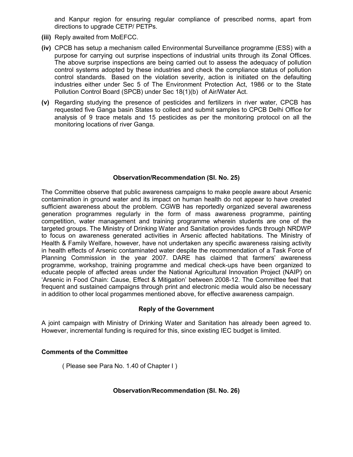and Kanpur region for ensuring regular compliance of prescribed norms, apart from directions to upgrade CETP/ PETPs.

- **(iii)** Reply awaited from MoEFCC.
- **(iv)** CPCB has setup a mechanism called Environmental Surveillance programme (ESS) with a purpose for carrying out surprise inspections of industrial units through its Zonal Offices. The above surprise inspections are being carried out to assess the adequacy of pollution control systems adopted by these industries and check the compliance status of pollution control standards. Based on the violation severity, action is initiated on the defaulting industries either under Sec 5 of The Environment Protection Act, 1986 or to the State Pollution Control Board (SPCB) under Sec 18(1)(b) of Air/Water Act.
- **(v)** Regarding studying the presence of pesticides and fertilizers in river water, CPCB has requested five Ganga basin States to collect and submit samples to CPCB Delhi Office for analysis of 9 trace metals and 15 pesticides as per the monitoring protocol on all the monitoring locations of river Ganga.

## **Observation/Recommendation (Sl. No. 25)**

The Committee observe that public awareness campaigns to make people aware about Arsenic contamination in ground water and its impact on human health do not appear to have created sufficient awareness about the problem. CGWB has reportedly organized several awareness generation programmes regularly in the form of mass awareness programme, painting competition, water management and training programme wherein students are one of the targeted groups. The Ministry of Drinking Water and Sanitation provides funds through NRDWP to focus on awareness generated activities in Arsenic affected habitations. The Ministry of Health & Family Welfare, however, have not undertaken any specific awareness raising activity in health effects of Arsenic contaminated water despite the recommendation of a Task Force of Planning Commission in the year 2007. DARE has claimed that farmers' awareness programme, workshop, training programme and medical check-ups have been organized to educate people of affected areas under the National Agricultural Innovation Project (NAIP) on 'Arsenic in Food Chain: Cause, Effect & Mitigation' between 2008-12. The Committee feel that frequent and sustained campaigns through print and electronic media would also be necessary in addition to other local progammes mentioned above, for effective awareness campaign.

#### **Reply of the Government**

A joint campaign with Ministry of Drinking Water and Sanitation has already been agreed to. However, incremental funding is required for this, since existing IEC budget is limited.

#### **Comments of the Committee**

( Please see Para No. 1.40 of Chapter I )

#### **Observation/Recommendation (Sl. No. 26)**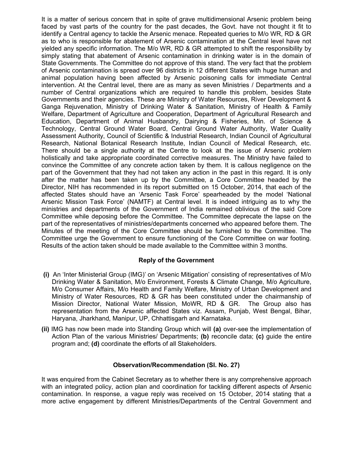It is a matter of serious concern that in spite of grave multidimensional Arsenic problem being faced by vast parts of the country for the past decades, the Govt. have not thought it fit to identify a Central agency to tackle the Arsenic menace. Repeated queries to M/o WR, RD & GR as to who is responsible for abatement of Arsenic contamination at the Central level have not yielded any specific information. The M/o WR, RD & GR attempted to shift the responsibility by simply stating that abatement of Arsenic contamination in drinking water is in the domain of State Governments. The Committee do not approve of this stand. The very fact that the problem of Arsenic contamination is spread over 96 districts in 12 different States with huge human and animal population having been affected by Arsenic poisoning calls for immediate Central intervention. At the Central level, there are as many as seven Ministries / Departments and a number of Central organizations which are required to handle this problem, besides State Governments and their agencies. These are Ministry of Water Resources, River Development & Ganga Rejuvenation, Ministry of Drinking Water & Sanitation, Ministry of Health & Family Welfare, Department of Agriculture and Cooperation, Department of Agricultural Research and Education, Department of Animal Husbandry, Dairying & Fisheries, Min. of Science & Technology, Central Ground Water Board, Central Ground Water Authority, Water Quality Assessment Authority, Council of Scientific & Industrial Research, Indian Council of Agricultural Research, National Botanical Research Institute, Indian Council of Medical Research, etc. There should be a single authority at the Centre to look at the issue of Arsenic problem holistically and take appropriate coordinated corrective measures. The Ministry have failed to convince the Committee of any concrete action taken by them. It is callous negligence on the part of the Government that they had not taken any action in the past in this regard. It is only after the matter has been taken up by the Committee, a Core Committee headed by the Director, NIH has recommended in its report submitted on 15 October, 2014, that each of the affected States should have an 'Arsenic Task Force' spearheaded by the model 'National Arsenic Mission Task Force' (NAMTF) at Central level. It is indeed intriguing as to why the ministries and departments of the Government of India remained oblivious of the said Core Committee while deposing before the Committee. The Committee deprecate the lapse on the part of the representatives of ministries/departments concerned who appeared before them. The Minutes of the meeting of the Core Committee should be furnished to the Committee. The Committee urge the Government to ensure functioning of the Core Committee on war footing. Results of the action taken should be made available to the Committee within 3 months.

## **Reply of the Government**

- **(i)** An 'Inter Ministerial Group (IMG)' on 'Arsenic Mitigation' consisting of representatives of M/o Drinking Water & Sanitation, M/o Environment, Forests & Climate Change, M/o Agriculture, M/o Consumer Affairs, M/o Health and Family Welfare, Ministry of Urban Development and Ministry of Water Resources, RD & GR has been constituted under the chairmanship of Mission Director, National Water Mission, MoWR, RD & GR. The Group also has representation from the Arsenic affected States viz. Assam, Punjab, West Bengal, Bihar, Haryana, Jharkhand, Manipur, UP, Chhattisgarh and Karnataka.
- **(ii)** IMG has now been made into Standing Group which will **(a)** over-see the implementation of Action Plan of the various Ministries/ Departments; **(b)** reconcile data; **(c)** guide the entire program and; **(d)** coordinate the efforts of all Stakeholders.

## **Observation/Recommendation (Sl. No. 27)**

It was enquired from the Cabinet Secretary as to whether there is any comprehensive approach with an integrated policy, action plan and coordination for tackling different aspects of Arsenic contamination. In response, a vague reply was received on 15 October, 2014 stating that a more active engagement by different Ministries/Departments of the Central Government and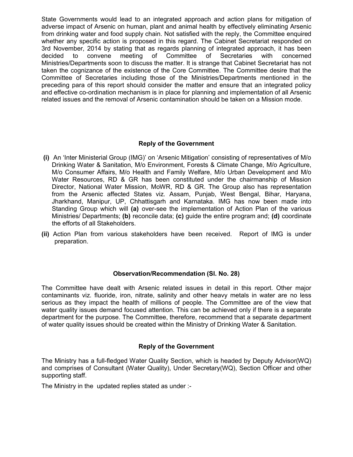State Governments would lead to an integrated approach and action plans for mitigation of adverse impact of Arsenic on human, plant and animal health by effectively eliminating Arsenic from drinking water and food supply chain. Not satisfied with the reply, the Committee enquired whether any specific action is proposed in this regard. The Cabinet Secretariat responded on 3rd November, 2014 by stating that as regards planning of integrated approach, it has been decided to convene meeting of Committee of Secretaries with concerned Ministries/Departments soon to discuss the matter. It is strange that Cabinet Secretariat has not taken the cognizance of the existence of the Core Committee. The Committee desire that the Committee of Secretaries including those of the Ministries/Departments mentioned in the preceding para of this report should consider the matter and ensure that an integrated policy and effective co-ordination mechanism is in place for planning and implementation of all Arsenic related issues and the removal of Arsenic contamination should be taken on a Mission mode.

## **Reply of the Government**

- **(i)** An 'Inter Ministerial Group (IMG)' on 'Arsenic Mitigation' consisting of representatives of M/o Drinking Water & Sanitation, M/o Environment, Forests & Climate Change, M/o Agriculture, M/o Consumer Affairs, M/o Health and Family Welfare, M/o Urban Development and M/o Water Resources, RD & GR has been constituted under the chairmanship of Mission Director, National Water Mission, MoWR, RD & GR. The Group also has representation from the Arsenic affected States viz. Assam, Punjab, West Bengal, Bihar, Haryana, Jharkhand, Manipur, UP, Chhattisgarh and Karnataka. IMG has now been made into Standing Group which will **(a)** over-see the implementation of Action Plan of the various Ministries/ Departments; **(b)** reconcile data; **(c)** guide the entire program and; **(d)** coordinate the efforts of all Stakeholders.
- **(ii)** Action Plan from various stakeholders have been received. Report of IMG is under preparation.

## **Observation/Recommendation (Sl. No. 28)**

The Committee have dealt with Arsenic related issues in detail in this report. Other major contaminants viz. fluoride, iron, nitrate, salinity and other heavy metals in water are no less serious as they impact the health of millions of people. The Committee are of the view that water quality issues demand focused attention. This can be achieved only if there is a separate department for the purpose. The Committee, therefore, recommend that a separate department of water quality issues should be created within the Ministry of Drinking Water & Sanitation.

## **Reply of the Government**

The Ministry has a full-fledged Water Quality Section, which is headed by Deputy Advisor(WQ) and comprises of Consultant (Water Quality), Under Secretary(WQ), Section Officer and other supporting staff.

The Ministry in the updated replies stated as under :-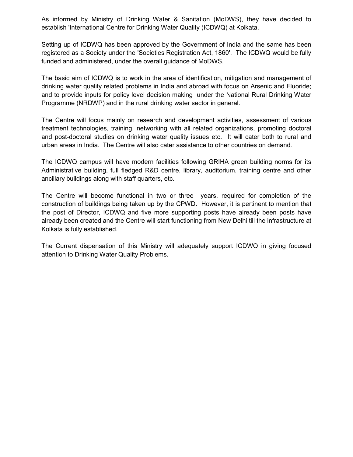As informed by Ministry of Drinking Water & Sanitation (MoDWS), they have decided to establish 'International Centre for Drinking Water Quality (ICDWQ) at Kolkata.

Setting up of ICDWQ has been approved by the Government of India and the same has been registered as a Society under the 'Societies Registration Act, 1860'. The ICDWQ would be fully funded and administered, under the overall guidance of MoDWS.

The basic aim of ICDWQ is to work in the area of identification, mitigation and management of drinking water quality related problems in India and abroad with focus on Arsenic and Fluoride; and to provide inputs for policy level decision making under the National Rural Drinking Water Programme (NRDWP) and in the rural drinking water sector in general.

The Centre will focus mainly on research and development activities, assessment of various treatment technologies, training, networking with all related organizations, promoting doctoral and post-doctoral studies on drinking water quality issues etc. It will cater both to rural and urban areas in India. The Centre will also cater assistance to other countries on demand.

The ICDWQ campus will have modern facilities following GRIHA green building norms for its Administrative building, full fledged R&D centre, library, auditorium, training centre and other ancillary buildings along with staff quarters, etc.

The Centre will become functional in two or three years, required for completion of the construction of buildings being taken up by the CPWD. However, it is pertinent to mention that the post of Director, ICDWQ and five more supporting posts have already been posts have already been created and the Centre will start functioning from New Delhi till the infrastructure at Kolkata is fully established.

The Current dispensation of this Ministry will adequately support ICDWQ in giving focused attention to Drinking Water Quality Problems.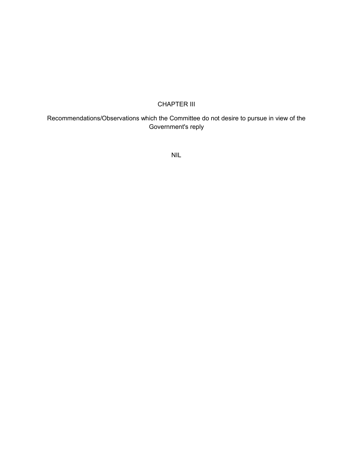## CHAPTER III

## Recommendations/Observations which the Committee do not desire to pursue in view of the Government's reply

NIL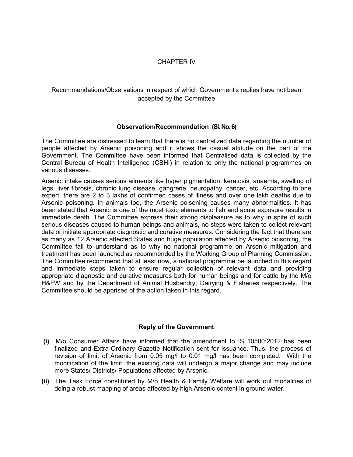## CHAPTER IV

## Recommendations/Observations in respect of which Government's replies have not been accepted by the Committee

#### **Observation/Recommendation (Sl. No. 6)**

The Committee are distressed to learn that there is no centralized data regarding the number of people affected by Arsenic poisoning and it shows the casual attitude on the part of the Government. The Committee have been informed that Centralised data is collected by the Central Bureau of Health Intelligence (CBHI) in relation to only the national programmes on various diseases.

Arsenic intake causes serious ailments like hyper pigmentation, keratosis, anaemia, swelling of legs, liver fibrosis, chronic lung disease, gangrene, neuropathy, cancer, etc. According to one expert, there are 2 to 3 lakhs of confirmed cases of illness and over one lakh deaths due to Arsenic poisoning. In animals too, the Arsenic poisoning causes many abnormalities. It has been stated that Arsenic is one of the most toxic elements to fish and acute exposure results in immediate death. The Committee express their strong displeasure as to why in spite of such serious diseases caused to human beings and animals, no steps were taken to collect relevant data or initiate appropriate diagnostic and curative measures. Considering the fact that there are as many as 12 Arsenic affected States and huge population affected by Arsenic poisoning, the Committee fail to understand as to why no national programme on Arsenic mitigation and treatment has been launched as recommended by the Working Group of Planning Commission. The Committee recommend that at least now, a national programme be launched in this regard and immediate steps taken to ensure regular collection of relevant data and providing appropriate diagnostic and curative measures both for human beings and for cattle by the M/o H&FW and by the Department of Animal Husbandry, Dairying & Fisheries respectively. The Committee should be apprised of the action taken in this regard.

## **Reply of the Government**

- **(i)** M/o Consumer Affairs have informed that the amendment to IS 10500:2012 has been finalized and Extra-Ordinary Gazette Notification sent for issuance. Thus, the process of revision of limit of Arsenic from 0.05 mg/l to 0.01 mg/l has been completed. With the modification of the limit, the existing data will undergo a major change and may include more States/ Districts/ Populations affected by Arsenic.
- **(ii)** The Task Force constituted by M/o Health & Family Welfare will work out modalities of doing a robust mapping of areas affected by high Arsenic content in ground water.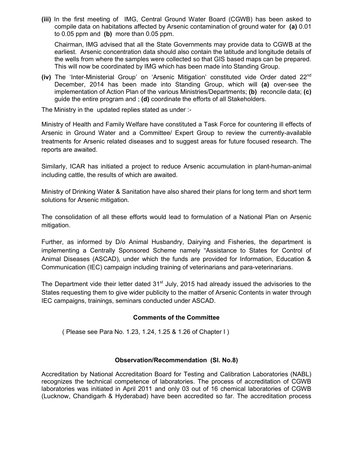**(iii)** In the first meeting of IMG, Central Ground Water Board (CGWB) has been asked to compile data on habitations affected by Arsenic contamination of ground water for **(a)** 0.01 to 0.05 ppm and **(b)** more than 0.05 ppm.

Chairman, IMG advised that all the State Governments may provide data to CGWB at the earliest. Arsenic concentration data should also contain the latitude and longitude details of the wells from where the samples were collected so that GIS based maps can be prepared. This will now be coordinated by IMG which has been made into Standing Group.

**(iv)** The 'Inter-Ministerial Group' on 'Arsenic Mitigation' constituted vide Order dated 22nd December, 2014 has been made into Standing Group, which will **(a)** over-see the implementation of Action Plan of the various Ministries/Departments; **(b)** reconcile data; **(c)** guide the entire program and ; **(d)** coordinate the efforts of all Stakeholders.

The Ministry in the updated replies stated as under :-

Ministry of Health and Family Welfare have constituted a Task Force for countering ill effects of Arsenic in Ground Water and a Committee/ Expert Group to review the currently-available treatments for Arsenic related diseases and to suggest areas for future focused research. The reports are awaited.

Similarly, ICAR has initiated a project to reduce Arsenic accumulation in plant-human-animal including cattle, the results of which are awaited.

Ministry of Drinking Water & Sanitation have also shared their plans for long term and short term solutions for Arsenic mitigation.

The consolidation of all these efforts would lead to formulation of a National Plan on Arsenic mitigation.

Further, as informed by D/o Animal Husbandry, Dairying and Fisheries, the department is implementing a Centrally Sponsored Scheme namely "Assistance to States for Control of Animal Diseases (ASCAD), under which the funds are provided for Information, Education & Communication (IEC) campaign including training of veterinarians and para-veterinarians.

The Department vide their letter dated  $31<sup>st</sup>$  July, 2015 had already issued the advisories to the States requesting them to give wider publicity to the matter of Arsenic Contents in water through IEC campaigns, trainings, seminars conducted under ASCAD.

## **Comments of the Committee**

( Please see Para No. 1.23, 1.24, 1.25 & 1.26 of Chapter I )

## **Observation/Recommendation (Sl. No.8)**

Accreditation by National Accreditation Board for Testing and Calibration Laboratories (NABL) recognizes the technical competence of laboratories. The process of accreditation of CGWB laboratories was initiated in April 2011 and only 03 out of 16 chemical laboratories of CGWB (Lucknow, Chandigarh & Hyderabad) have been accredited so far. The accreditation process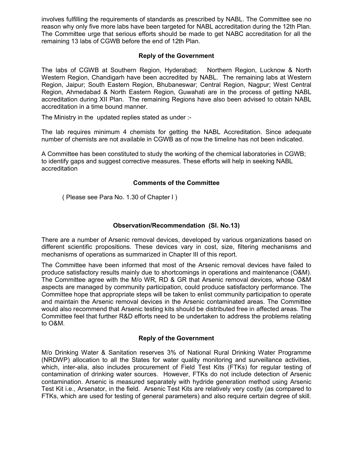involves fulfilling the requirements of standards as prescribed by NABL. The Committee see no reason why only five more labs have been targeted for NABL accreditation during the 12th Plan. The Committee urge that serious efforts should be made to get NABC accreditation for all the remaining 13 labs of CGWB before the end of 12th Plan.

## **Reply of the Government**

The labs of CGWB at Southern Region, Hyderabad; Northern Region, Lucknow & North Western Region, Chandigarh have been accredited by NABL. The remaining labs at Western Region, Jaipur; South Eastern Region, Bhubaneswar; Central Region, Nagpur; West Central Region, Ahmedabad & North Eastern Region, Guwahati are in the process of getting NABL accreditation during XII Plan. The remaining Regions have also been advised to obtain NABL accreditation in a time bound manner.

The Ministry in the updated replies stated as under :-

The lab requires minimum 4 chemists for getting the NABL Accreditation. Since adequate number of chemists are not available in CGWB as of now the timeline has not been indicated.

A Committee has been constituted to study the working of the chemical laboratories in CGWB; to identify gaps and suggest corrective measures. These efforts will help in seeking NABL accreditation

#### **Comments of the Committee**

( Please see Para No. 1.30 of Chapter I )

#### **Observation/Recommendation (Sl. No.13)**

There are a number of Arsenic removal devices, developed by various organizations based on different scientific propositions. These devices vary in cost, size, filtering mechanisms and mechanisms of operations as summarized in Chapter III of this report.

The Committee have been informed that most of the Arsenic removal devices have failed to produce satisfactory results mainly due to shortcomings in operations and maintenance (O&M). The Committee agree with the M/o WR, RD & GR that Arsenic removal devices, whose O&M aspects are managed by community participation, could produce satisfactory performance. The Committee hope that appropriate steps will be taken to enlist community participation to operate and maintain the Arsenic removal devices in the Arsenic contaminated areas. The Committee would also recommend that Arsenic testing kits should be distributed free in affected areas. The Committee feel that further R&D efforts need to be undertaken to address the problems relating to O&M.

#### **Reply of the Government**

M/o Drinking Water & Sanitation reserves 3% of National Rural Drinking Water Programme (NRDWP) allocation to all the States for water quality monitoring and surveillance activities, which, inter-alia, also includes procurement of Field Test Kits (FTKs) for regular testing of contamination of drinking water sources. However, FTKs do not include detection of Arsenic contamination. Arsenic is measured separately with hydride generation method using Arsenic Test Kit i.e., Arsenator, in the field. Arsenic Test Kits are relatively very costly (as compared to FTKs, which are used for testing of general parameters) and also require certain degree of skill.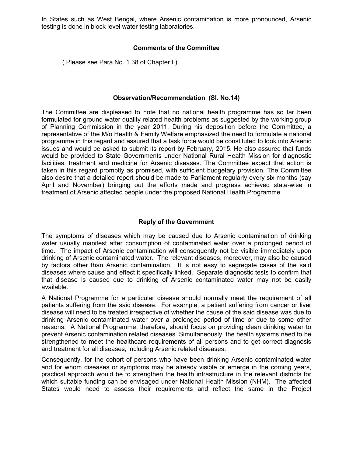In States such as West Bengal, where Arsenic contamination is more pronounced, Arsenic testing is done in block level water testing laboratories.

#### **Comments of the Committee**

( Please see Para No. 1.38 of Chapter I )

#### **Observation/Recommendation (Sl. No.14)**

The Committee are displeased to note that no national health programme has so far been formulated for ground water quality related health problems as suggested by the working group of Planning Commission in the year 2011. During his deposition before the Committee, a representative of the M/o Health & Family Welfare emphasized the need to formulate a national programme in this regard and assured that a task force would be constituted to look into Arsenic issues and would be asked to submit its report by February, 2015. He also assured that funds would be provided to State Governments under National Rural Health Mission for diagnostic facilities, treatment and medicine for Arsenic diseases. The Committee expect that action is taken in this regard promptly as promised, with sufficient budgetary provision. The Committee also desire that a detailed report should be made to Parliament regularly every six months (say April and November) bringing out the efforts made and progress achieved state-wise in treatment of Arsenic affected people under the proposed National Health Programme.

#### **Reply of the Government**

The symptoms of diseases which may be caused due to Arsenic contamination of drinking water usually manifest after consumption of contaminated water over a prolonged period of time. The impact of Arsenic contamination will consequently not be visible immediately upon drinking of Arsenic contaminated water. The relevant diseases, moreover, may also be caused by factors other than Arsenic contamination. It is not easy to segregate cases of the said diseases where cause and effect it specifically linked. Separate diagnostic tests to confirm that that disease is caused due to drinking of Arsenic contaminated water may not be easily available.

A National Programme for a particular disease should normally meet the requirement of all patients suffering from the said disease. For example, a patient suffering from cancer or liver disease will need to be treated irrespective of whether the cause of the said disease was due to drinking Arsenic contaminated water over a prolonged period of time or due to some other reasons. A National Programme, therefore, should focus on providing clean drinking water to prevent Arsenic contamination related diseases. Simultaneously, the health systems need to be strengthened to meet the healthcare requirements of all persons and to get correct diagnosis and treatment for all diseases, including Arsenic related diseases.

Consequently, for the cohort of persons who have been drinking Arsenic contaminated water and for whom diseases or symptoms may be already visible or emerge in the coming years, practical approach would be to strengthen the health infrastructure in the relevant districts for which suitable funding can be envisaged under National Health Mission (NHM). The affected States would need to assess their requirements and reflect the same in the Project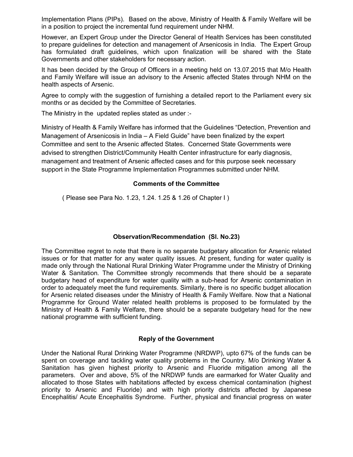Implementation Plans (PIPs). Based on the above, Ministry of Health & Family Welfare will be in a position to project the incremental fund requirement under NHM.

However, an Expert Group under the Director General of Health Services has been constituted to prepare guidelines for detection and management of Arsenicosis in India. The Expert Group has formulated draft guidelines, which upon finalization will be shared with the State Governments and other stakeholders for necessary action.

It has been decided by the Group of Officers in a meeting held on 13.07.2015 that M/o Health and Family Welfare will issue an advisory to the Arsenic affected States through NHM on the health aspects of Arsenic.

Agree to comply with the suggestion of furnishing a detailed report to the Parliament every six months or as decided by the Committee of Secretaries.

The Ministry in the updated replies stated as under :-

Ministry of Health & Family Welfare has informed that the Guidelines "Detection, Prevention and Management of Arsenicosis in India – A Field Guide" have been finalized by the expert Committee and sent to the Arsenic affected States. Concerned State Governments were advised to strengthen District/Community Health Center infrastructure for early diagnosis, management and treatment of Arsenic affected cases and for this purpose seek necessary support in the State Programme Implementation Programmes submitted under NHM.

## **Comments of the Committee**

( Please see Para No. 1.23, 1.24. 1.25 & 1.26 of Chapter I )

## **Observation/Recommendation (Sl. No.23)**

The Committee regret to note that there is no separate budgetary allocation for Arsenic related issues or for that matter for any water quality issues. At present, funding for water quality is made only through the National Rural Drinking Water Programme under the Ministry of Drinking Water & Sanitation. The Committee strongly recommends that there should be a separate budgetary head of expenditure for water quality with a sub-head for Arsenic contamination in order to adequately meet the fund requirements. Similarly, there is no specific budget allocation for Arsenic related diseases under the Ministry of Health & Family Welfare. Now that a National Programme for Ground Water related health problems is proposed to be formulated by the Ministry of Health & Family Welfare, there should be a separate budgetary head for the new national programme with sufficient funding.

## **Reply of the Government**

Under the National Rural Drinking Water Programme (NRDWP), upto 67% of the funds can be spent on coverage and tackling water quality problems in the Country. M/o Drinking Water & Sanitation has given highest priority to Arsenic and Fluoride mitigation among all the parameters. Over and above, 5% of the NRDWP funds are earmarked for Water Quality and allocated to those States with habitations affected by excess chemical contamination (highest priority to Arsenic and Fluoride) and with high priority districts affected by Japanese Encephalitis/ Acute Encephalitis Syndrome. Further, physical and financial progress on water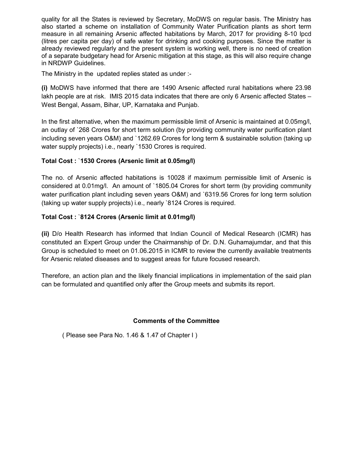quality for all the States is reviewed by Secretary, MoDWS on regular basis. The Ministry has also started a scheme on installation of Community Water Purification plants as short term measure in all remaining Arsenic affected habitations by March, 2017 for providing 8-10 lpcd (litres per capita per day) of safe water for drinking and cooking purposes. Since the matter is already reviewed regularly and the present system is working well, there is no need of creation of a separate budgetary head for Arsenic mitigation at this stage, as this will also require change in NRDWP Guidelines.

The Ministry in the updated replies stated as under :-

**(i)** MoDWS have informed that there are 1490 Arsenic affected rural habitations where 23.98 lakh people are at risk. IMIS 2015 data indicates that there are only 6 Arsenic affected States – West Bengal, Assam, Bihar, UP, Karnataka and Punjab.

In the first alternative, when the maximum permissible limit of Arsenic is maintained at 0.05mg/l, an outlay of `268 Crores for short term solution (by providing community water purification plant including seven years O&M) and `1262.69 Crores for long term & sustainable solution (taking up water supply projects) i.e., nearly `1530 Crores is required.

## **Total Cost :** `**1530 Crores (Arsenic limit at 0.05mg/l)**

The no. of Arsenic affected habitations is 10028 if maximum permissible limit of Arsenic is considered at 0.01mg/l. An amount of `1805.04 Crores for short term (by providing community water purification plant including seven years O&M) and `6319.56 Crores for long term solution (taking up water supply projects) i.e., nearly `8124 Crores is required.

## **Total Cost :** `**8124 Crores (Arsenic limit at 0.01mg/l)**

**(ii)** D/o Health Research has informed that Indian Council of Medical Research (ICMR) has constituted an Expert Group under the Chairmanship of Dr. D.N. Guhamajumdar, and that this Group is scheduled to meet on 01.06.2015 in ICMR to review the currently available treatments for Arsenic related diseases and to suggest areas for future focused research.

Therefore, an action plan and the likely financial implications in implementation of the said plan can be formulated and quantified only after the Group meets and submits its report.

## **Comments of the Committee**

( Please see Para No. 1.46 & 1.47 of Chapter I )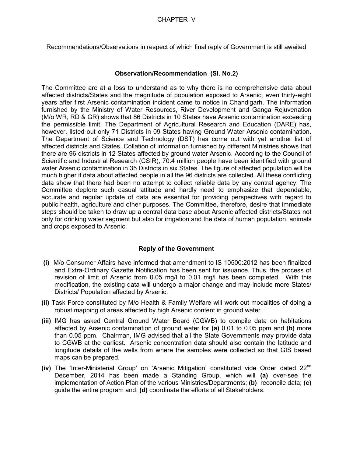Recommendations/Observations in respect of which final reply of Government is still awaited

#### **Observation/Recommendation (Sl. No.2)**

The Committee are at a loss to understand as to why there is no comprehensive data about affected districts/States and the magnitude of population exposed to Arsenic, even thirty-eight years after first Arsenic contamination incident came to notice in Chandigarh. The information furnished by the Ministry of Water Resources, River Development and Ganga Rejuvenation (M/o WR, RD & GR) shows that 86 Districts in 10 States have Arsenic contamination exceeding the permissible limit. The Department of Agricultural Research and Education (DARE) has, however, listed out only 71 Districts in 09 States having Ground Water Arsenic contamination. The Department of Science and Technology (DST) has come out with yet another list of affected districts and States. Collation of information furnished by different Ministries shows that there are 96 districts in 12 States affected by ground water Arsenic. According to the Council of Scientific and Industrial Research (CSIR), 70.4 million people have been identified with ground water Arsenic contamination in 35 Districts in six States. The figure of affected population will be much higher if data about affected people in all the 96 districts are collected. All these conflicting data show that there had been no attempt to collect reliable data by any central agency. The Committee deplore such casual attitude and hardly need to emphasize that dependable, accurate and regular update of data are essential for providing perspectives with regard to public health, agriculture and other purposes. The Committee, therefore, desire that immediate steps should be taken to draw up a central data base about Arsenic affected districts/States not only for drinking water segment but also for irrigation and the data of human population, animals and crops exposed to Arsenic.

## **Reply of the Government**

- **(i)** M/o Consumer Affairs have informed that amendment to IS 10500:2012 has been finalized and Extra-Ordinary Gazette Notification has been sent for issuance. Thus, the process of revision of limit of Arsenic from 0.05 mg/l to 0.01 mg/l has been completed. With this modification, the existing data will undergo a major change and may include more States/ Districts/ Population affected by Arsenic.
- **(ii)** Task Force constituted by M/o Health & Family Welfare will work out modalities of doing a robust mapping of areas affected by high Arsenic content in ground water.
- **(iii)** IMG has asked Central Ground Water Board (CGWB) to compile data on habitations affected by Arsenic contamination of ground water for **(a)** 0.01 to 0.05 ppm and **(b)** more than 0.05 ppm. Chairman, IMG advised that all the State Governments may provide data to CGWB at the earliest. Arsenic concentration data should also contain the latitude and longitude details of the wells from where the samples were collected so that GIS based maps can be prepared.
- **(iv)** The 'Inter-Ministerial Group' on 'Arsenic Mitigation' constituted vide Order dated 22nd December, 2014 has been made a Standing Group, which will **(a)** over-see the implementation of Action Plan of the various Ministries/Departments; **(b)** reconcile data; **(c)** guide the entire program and; **(d)** coordinate the efforts of all Stakeholders.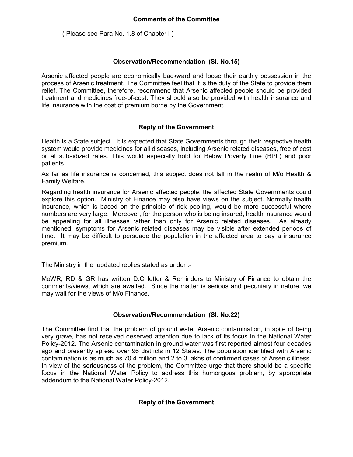## **Comments of the Committee**

( Please see Para No. 1.8 of Chapter I )

## **Observation/Recommendation (Sl. No.15)**

Arsenic affected people are economically backward and loose their earthly possession in the process of Arsenic treatment. The Committee feel that it is the duty of the State to provide them relief. The Committee, therefore, recommend that Arsenic affected people should be provided treatment and medicines free-of-cost. They should also be provided with health insurance and life insurance with the cost of premium borne by the Government.

## **Reply of the Government**

Health is a State subject. It is expected that State Governments through their respective health system would provide medicines for all diseases, including Arsenic related diseases, free of cost or at subsidized rates. This would especially hold for Below Poverty Line (BPL) and poor patients.

As far as life insurance is concerned, this subject does not fall in the realm of M/o Health & Family Welfare.

Regarding health insurance for Arsenic affected people, the affected State Governments could explore this option. Ministry of Finance may also have views on the subject. Normally health insurance, which is based on the principle of risk pooling, would be more successful where numbers are very large. Moreover, for the person who is being insured, health insurance would be appealing for all illnesses rather than only for Arsenic related diseases. As already mentioned, symptoms for Arsenic related diseases may be visible after extended periods of time. It may be difficult to persuade the population in the affected area to pay a insurance premium.

The Ministry in the updated replies stated as under :-

MoWR, RD & GR has written D.O letter & Reminders to Ministry of Finance to obtain the comments/views, which are awaited. Since the matter is serious and pecuniary in nature, we may wait for the views of M/o Finance.

## **Observation/Recommendation (Sl. No.22)**

The Committee find that the problem of ground water Arsenic contamination, in spite of being very grave, has not received deserved attention due to lack of its focus in the National Water Policy-2012. The Arsenic contamination in ground water was first reported almost four decades ago and presently spread over 96 districts in 12 States. The population identified with Arsenic contamination is as much as 70.4 million and 2 to 3 lakhs of confirmed cases of Arsenic illness. In view of the seriousness of the problem, the Committee urge that there should be a specific focus in the National Water Policy to address this humongous problem, by appropriate addendum to the National Water Policy-2012.

## **Reply of the Government**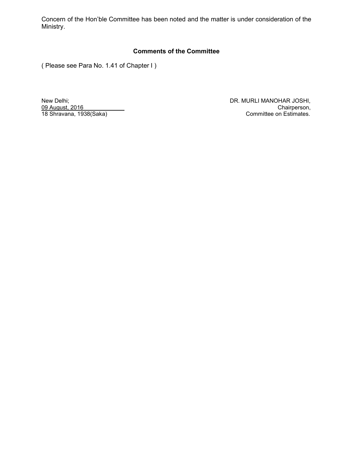Concern of the Hon'ble Committee has been noted and the matter is under consideration of the Ministry.

## **Comments of the Committee**

( Please see Para No. 1.41 of Chapter I )

18 Shravana, 1938(Saka)

New Delhi; DR. MURLI MANOHAR JOSHI, 09 August, 2016 Chairperson, Chairperson, Chairperson, Chairperson, Chairperson, Chairperson, Chairperson, Chairperson, Committee on Estimates.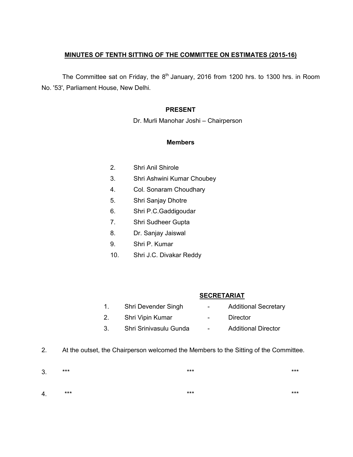## **MINUTES OF TENTH SITTING OF THE COMMITTEE ON ESTIMATES (2015-16)**

The Committee sat on Friday, the  $8<sup>th</sup>$  January, 2016 from 1200 hrs. to 1300 hrs. in Room No. '53', Parliament House, New Delhi.

## **PRESENT**

Dr. Murli Manohar Joshi – Chairperson

#### **Members**

- 2. Shri Anil Shirole
- 3. Shri Ashwini Kumar Choubey
- 4. Col. Sonaram Choudhary
- 5. Shri Sanjay Dhotre
- 6. Shri P.C.Gaddigoudar
- 7. Shri Sudheer Gupta
- 8. Dr. Sanjay Jaiswal
- 9. Shri P. Kumar
- 10. Shri J.C. Divakar Reddy

## **SECRETARIAT**

- 1. Shri Devender Singh Additional Secretary 2. Shri Vipin Kumar - Director 3. Shri Srinivasulu Gunda - Additional Director
- 2. At the outset, the Chairperson welcomed the Members to the Sitting of the Committee.

| 3. | *** | $***$ | $***$ |
|----|-----|-------|-------|
|    |     |       |       |
| 4. | *** | $***$ | ***   |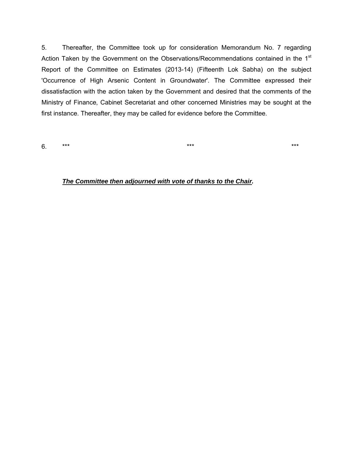5. Thereafter, the Committee took up for consideration Memorandum No. 7 regarding Action Taken by the Government on the Observations/Recommendations contained in the 1<sup>st</sup> Report of the Committee on Estimates (2013-14) (Fifteenth Lok Sabha) on the subject 'Occurrence of High Arsenic Content in Groundwater'. The Committee expressed their dissatisfaction with the action taken by the Government and desired that the comments of the Ministry of Finance, Cabinet Secretariat and other concerned Ministries may be sought at the first instance. Thereafter, they may be called for evidence before the Committee.

6. \*\*\* \*\*\* \*\*\* \*\*\* \*\*\* \*\*\* \*\*\* \*\*\* \*\*\*

*The Committee then adjourned with vote of thanks to the Chair.*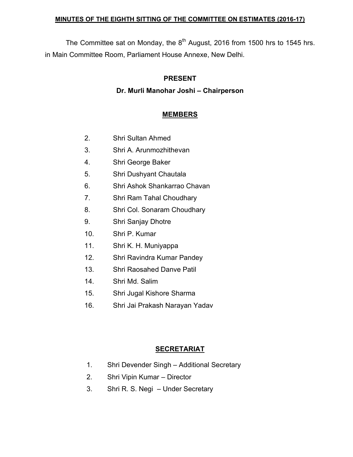## **MINUTES OF THE EIGHTH SITTING OF THE COMMITTEE ON ESTIMATES (2016-17)**

The Committee sat on Monday, the  $8<sup>th</sup>$  August, 2016 from 1500 hrs to 1545 hrs. in Main Committee Room, Parliament House Annexe, New Delhi.

## **PRESENT**

## **Dr. Murli Manohar Joshi – Chairperson**

## **MEMBERS**

- 2. Shri Sultan Ahmed
- 3. Shri A. Arunmozhithevan
- 4. Shri George Baker
- 5. Shri Dushyant Chautala
- 6. Shri Ashok Shankarrao Chavan
- 7. Shri Ram Tahal Choudhary
- 8. Shri Col. Sonaram Choudhary
- 9. Shri Sanjay Dhotre
- 10. Shri P. Kumar
- 11. Shri K. H. Muniyappa
- 12. Shri Ravindra Kumar Pandey
- 13. Shri Raosahed Danve Patil
- 14. Shri Md. Salim
- 15. Shri Jugal Kishore Sharma
- 16. Shri Jai Prakash Narayan Yadav

# **SECRETARIAT**

- 1. Shri Devender Singh Additional Secretary
- 2. Shri Vipin Kumar Director
- 3. Shri R. S. Negi Under Secretary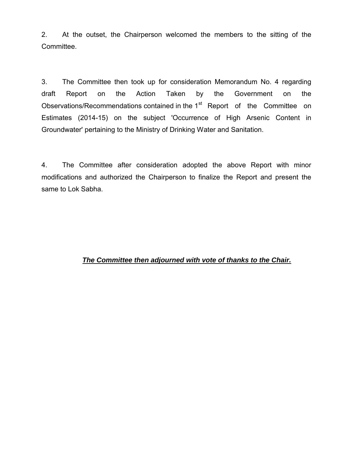2. At the outset, the Chairperson welcomed the members to the sitting of the Committee.

3. The Committee then took up for consideration Memorandum No. 4 regarding draft Report on the Action Taken by the Government on the Observations/Recommendations contained in the 1<sup>st</sup> Report of the Committee on Estimates (2014-15) on the subject 'Occurrence of High Arsenic Content in Groundwater' pertaining to the Ministry of Drinking Water and Sanitation.

4. The Committee after consideration adopted the above Report with minor modifications and authorized the Chairperson to finalize the Report and present the same to Lok Sabha.

## *The Committee then adjourned with vote of thanks to the Chair.*